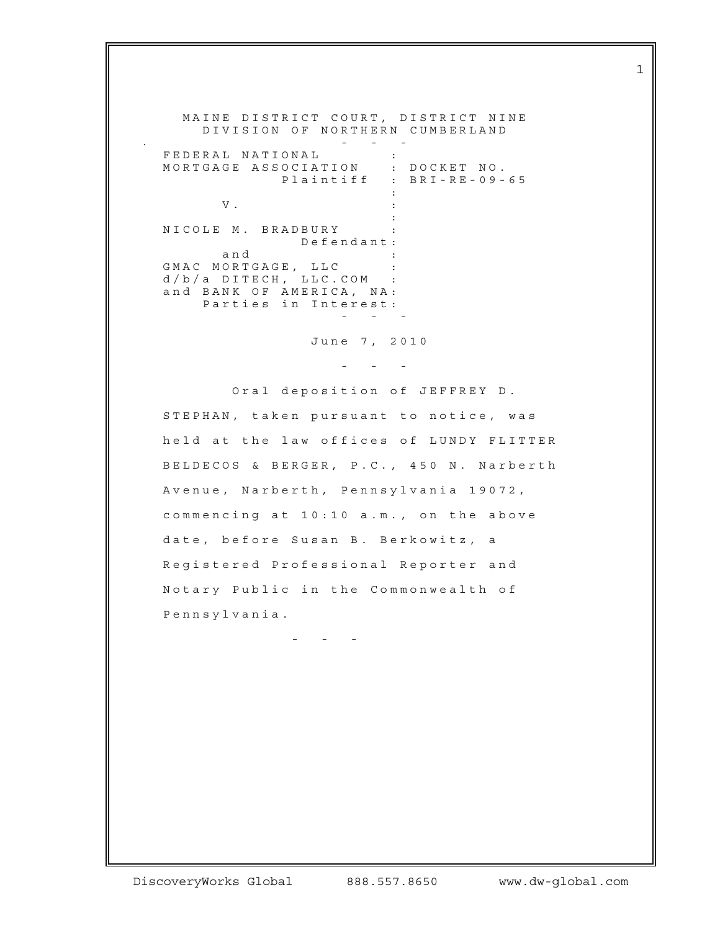MAINE DISTRICT COURT, DISTRICT NINE D I V I S I ON OF NORTHERN CUMBERLAND

 - - - F E D E R A L N A T I O N A L : MORTGAGE ASSOCIATION : DOCKET NO. Plaintiff : BRI-RE-09-65 the contract of the contract of the contract of the contract of the contract of  $V$  .  $\hspace{2.6cm}$  : **Service Contract Contract Contract Contract Contract Contract Contract Contract Contract Contract Contract Contract** N I COLE M. BRADBURY : D e f e n d a n t : a n d : GMAC MORTGAGE, LLC :  $d / b / a$   $D$  I T E C H ,  $L$  L L C . COM : and BANK OF AMERICA, NA: Parties in Interest: - - -

June 7, 2010

- - -

Oral deposition of JEFFREY D. STEPHAN, taken pursuant to notice, was held at the law offices of LUNDY FLITTER BELDECOS & BERGER, P.C., 450 N. Narberth Avenue, Narberth, Pennsylvania 19072, commencing at  $10:10$  a.m., on the above date, before Susan B. Berkowitz, a Registered Professional Reporter and Notary Public in the Commonwealth of Pennsylvania.

- - -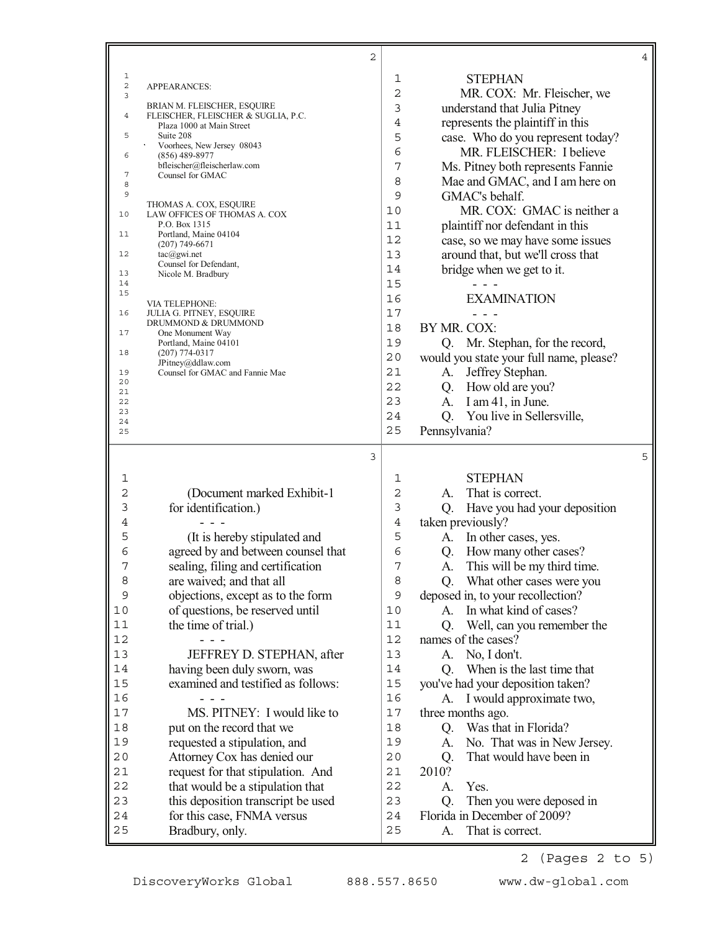|                              | 2                                                                |                |                                                          | 4 |
|------------------------------|------------------------------------------------------------------|----------------|----------------------------------------------------------|---|
| 1                            |                                                                  | 1              | <b>STEPHAN</b>                                           |   |
| $\overline{\mathbf{c}}$<br>3 | APPEARANCES:                                                     | $\overline{c}$ | MR. COX: Mr. Fleischer, we                               |   |
|                              | BRIAN M. FLEISCHER, ESQUIRE                                      | 3              | understand that Julia Pitney                             |   |
| 4                            | FLEISCHER, FLEISCHER & SUGLIA, P.C.<br>Plaza 1000 at Main Street | 4              | represents the plaintiff in this                         |   |
| 5                            | Suite 208                                                        | 5              | case. Who do you represent today?                        |   |
|                              | Voorhees, New Jersey 08043                                       | 6              | MR. FLEISCHER: I believe                                 |   |
| 6                            | $(856)$ 489-8977<br>bfleischer@fleischerlaw.com                  | 7              | Ms. Pitney both represents Fannie                        |   |
| 7                            | Counsel for GMAC                                                 | 8              | Mae and GMAC, and I am here on                           |   |
| 8<br>9                       |                                                                  | 9              | GMAC's behalf.                                           |   |
|                              | THOMAS A. COX, ESQUIRE                                           | 10             | MR. COX: GMAC is neither a                               |   |
| 10                           | LAW OFFICES OF THOMAS A. COX<br>P.O. Box 1315                    | 11             | plaintiff nor defendant in this                          |   |
| 11                           | Portland, Maine 04104                                            | 12             |                                                          |   |
| 12                           | $(207)$ 749-6671                                                 | 13             | case, so we may have some issues                         |   |
|                              | $tac(\theta)$ gwi.net<br>Counsel for Defendant,                  | 14             | around that, but we'll cross that                        |   |
| 13                           | Nicole M. Bradbury                                               |                | bridge when we get to it.                                |   |
| 14<br>15                     |                                                                  | 15             |                                                          |   |
|                              | VIA TELEPHONE:                                                   | 16             | <b>EXAMINATION</b>                                       |   |
| 16                           | <b>JULIA G. PITNEY, ESQUIRE</b><br>DRUMMOND & DRUMMOND           | 17             |                                                          |   |
| 17                           | One Monument Way                                                 | 18             | BY MR. COX:                                              |   |
| 18                           | Portland, Maine 04101<br>$(207)$ 774-0317                        | 19             | Q. Mr. Stephan, for the record,                          |   |
|                              | JPitney@ddlaw.com                                                | 20             | would you state your full name, please?                  |   |
| 19<br>20                     | Counsel for GMAC and Fannie Mae                                  | 21             | A. Jeffrey Stephan.                                      |   |
| 21                           |                                                                  | 22             | Q. How old are you?                                      |   |
| 22<br>23                     |                                                                  | 23             | A. I am 41, in June.                                     |   |
| 24                           |                                                                  | 24             | You live in Sellersville,<br>Q.                          |   |
| 25                           |                                                                  | 25             | Pennsylvania?                                            |   |
|                              | 3                                                                |                |                                                          | 5 |
|                              |                                                                  |                |                                                          |   |
| 1                            |                                                                  | 1              | <b>STEPHAN</b>                                           |   |
| 2                            | (Document marked Exhibit-1                                       | $\overline{c}$ | That is correct.<br>A.                                   |   |
| 3                            | for identification.)                                             | 3              | Have you had your deposition<br>Q.                       |   |
| 4                            |                                                                  | 4              | taken previously?                                        |   |
| 5                            | (It is hereby stipulated and                                     | 5              | In other cases, yes.<br>A.                               |   |
| 6                            | agreed by and between counsel that                               | 6              | Q. How many other cases?                                 |   |
| 7                            | sealing, filing and certification                                | 7              | This will be my third time.<br>A.                        |   |
| 8                            | are waived; and that all                                         | 8              | Q. What other cases were you                             |   |
| 9                            | objections, except as to the form                                | 9              | deposed in, to your recollection?                        |   |
| 10                           | of questions, be reserved until                                  | 10             | In what kind of cases?<br>A.                             |   |
| 11                           | the time of trial.)                                              | 11             | Well, can you remember the<br>Q.                         |   |
| 12                           |                                                                  | 12             | names of the cases?                                      |   |
| 13                           | JEFFREY D. STEPHAN, after                                        | 13             | No, I don't.<br>A.                                       |   |
| 14                           | having been duly sworn, was                                      | 14             | When is the last time that<br>Q.                         |   |
| 15                           | examined and testified as follows:                               | 15             | you've had your deposition taken?                        |   |
| 16                           | - - -                                                            | 16             | I would approximate two,<br>A.                           |   |
| 17                           | MS. PITNEY: I would like to                                      | 17             | three months ago.                                        |   |
| 18                           | put on the record that we                                        | 18             | Q. Was that in Florida?                                  |   |
| 19                           | requested a stipulation, and                                     | 19             | No. That was in New Jersey.<br>A.                        |   |
| 20                           | Attorney Cox has denied our                                      | 20             | That would have been in<br>Q.                            |   |
| 21                           | request for that stipulation. And                                | 21             | 2010?                                                    |   |
| 22                           |                                                                  |                |                                                          |   |
|                              |                                                                  | 22             | Yes.<br>А.                                               |   |
| 23                           | that would be a stipulation that                                 | 23             | Q.                                                       |   |
| 24                           | this deposition transcript be used<br>for this case, FNMA versus | 24             | Then you were deposed in<br>Florida in December of 2009? |   |
| 25                           | Bradbury, only.                                                  | 25             | That is correct.<br>A.                                   |   |

2 (Pages 2 to 5)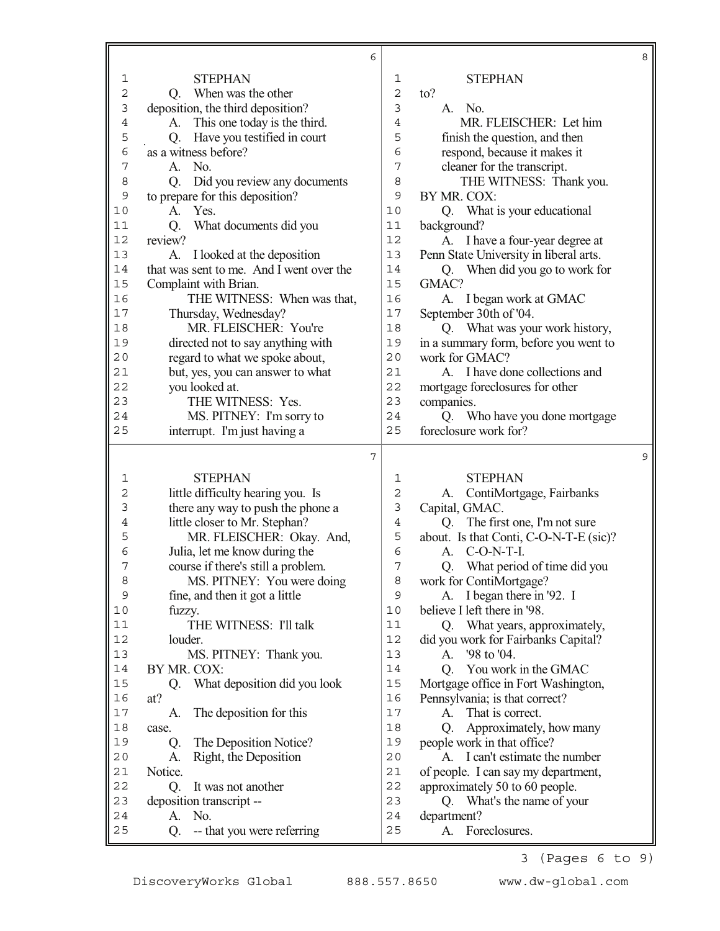|                |                                          | 6              |                |                                        | 8 |
|----------------|------------------------------------------|----------------|----------------|----------------------------------------|---|
| 1              | <b>STEPHAN</b>                           |                | $\mathbf{1}$   | <b>STEPHAN</b>                         |   |
| $\mathbf 2$    | When was the other<br>Q.                 |                | $\overline{c}$ | to?                                    |   |
| 3              | deposition, the third deposition?        |                | 3              | A. No.                                 |   |
| $\overline{4}$ | This one today is the third.<br>A.       |                | $\overline{4}$ | MR. FLEISCHER: Let him                 |   |
| 5              | Have you testified in court<br>Q.        |                | 5              | finish the question, and then          |   |
| 6              | as a witness before?                     |                | 6              | respond, because it makes it           |   |
| 7              | No.<br>A.                                |                | 7              | cleaner for the transcript.            |   |
| 8              | Did you review any documents<br>Q.       |                | 8              | THE WITNESS: Thank you.                |   |
| 9              | to prepare for this deposition?          |                | 9              | BY MR. COX:                            |   |
| 10             | Yes.<br>A.                               |                | 10             | Q. What is your educational            |   |
| 11             | Q.<br>What documents did you             |                | 11             | background?                            |   |
| 12             | review?                                  |                | 12             | A. I have a four-year degree at        |   |
| 13             | I looked at the deposition<br>A.         |                | 13             | Penn State University in liberal arts. |   |
| 14             | that was sent to me. And I went over the |                | 14             | Q. When did you go to work for         |   |
| 15             | Complaint with Brian.                    |                | 15             | GMAC?                                  |   |
| 16             | THE WITNESS: When was that,              |                | 16             | I began work at GMAC<br>А.             |   |
| 17             | Thursday, Wednesday?                     |                | 17             | September 30th of '04.                 |   |
| 18             | MR. FLEISCHER: You're                    |                | 18             | Q. What was your work history,         |   |
| 19             | directed not to say anything with        |                | 19             | in a summary form, before you went to  |   |
| 20             | regard to what we spoke about,           |                | 20             | work for GMAC?                         |   |
| 21             | but, yes, you can answer to what         |                | 21             | A. I have done collections and         |   |
| 22             | you looked at.                           |                | 22             | mortgage foreclosures for other        |   |
| 23             | THE WITNESS: Yes.                        |                | 23             | companies.                             |   |
| 24             | MS. PITNEY: I'm sorry to                 |                | 24             | Q. Who have you done mortgage          |   |
| 25             | interrupt. I'm just having a             |                | 25             | foreclosure work for?                  |   |
|                |                                          |                |                |                                        |   |
|                |                                          | $\overline{7}$ |                |                                        | 9 |
| 1              | <b>STEPHAN</b>                           |                | 1              | <b>STEPHAN</b>                         |   |
|                | little difficulty hearing you. Is        |                | 2              | ContiMortgage, Fairbanks<br>А.         |   |
| $\mathbf{2}$   |                                          |                |                |                                        |   |
| 3              | there any way to push the phone a        |                | 3              | Capital, GMAC.                         |   |
| 4              | little closer to Mr. Stephan?            |                | $\overline{4}$ | Q. The first one, I'm not sure         |   |
| 5              | MR. FLEISCHER: Okay. And,                |                | 5              | about. Is that Conti, C-O-N-T-E (sic)? |   |
| 6              | Julia, let me know during the            |                | 6              | $C-O-N-T-I$ .<br>А.                    |   |
| 7              | course if there's still a problem.       |                | 7              | What period of time did you<br>Q.      |   |
| 8              | MS. PITNEY: You were doing               |                | 8              | work for ContiMortgage?                |   |
| 9              | fine, and then it got a little           |                | 9              | A. I began there in '92. I             |   |
| $10$           | fuzzy.                                   |                | 10             | believe I left there in '98.           |   |
| 11             | THE WITNESS: I'll talk                   |                | 11             | What years, approximately,<br>O.       |   |
| 12             | louder.                                  |                | 12             | did you work for Fairbanks Capital?    |   |
| 13             | MS. PITNEY: Thank you.                   |                | 13             | '98 to '04.<br>A.                      |   |
| 14             | BY MR. COX:                              |                | 14             | You work in the GMAC<br>Q.             |   |
| 15             | What deposition did you look<br>Q.       |                | 15             | Mortgage office in Fort Washington,    |   |
| 16             | at?                                      |                | 16             | Pennsylvania; is that correct?         |   |
| $17$           | The deposition for this<br>A.            |                | 17             | That is correct.<br>A.                 |   |
| $1\,8$         | case.                                    |                | 18             | Approximately, how many<br>Q.          |   |
| 19             | The Deposition Notice?<br>Q.             |                | 19             | people work in that office?            |   |
| 20             | Right, the Deposition<br>A.              |                | 20             | A. I can't estimate the number         |   |
| 21             | Notice.                                  |                | 21             | of people. I can say my department,    |   |
| 22             | It was not another<br>Q.                 |                | 22             | approximately 50 to 60 people.         |   |
| 23             | deposition transcript --                 |                | 23             | What's the name of your<br>Q.          |   |
| 24             | No.<br>A.                                |                | 24             | department?                            |   |

3 (Pages 6 to 9)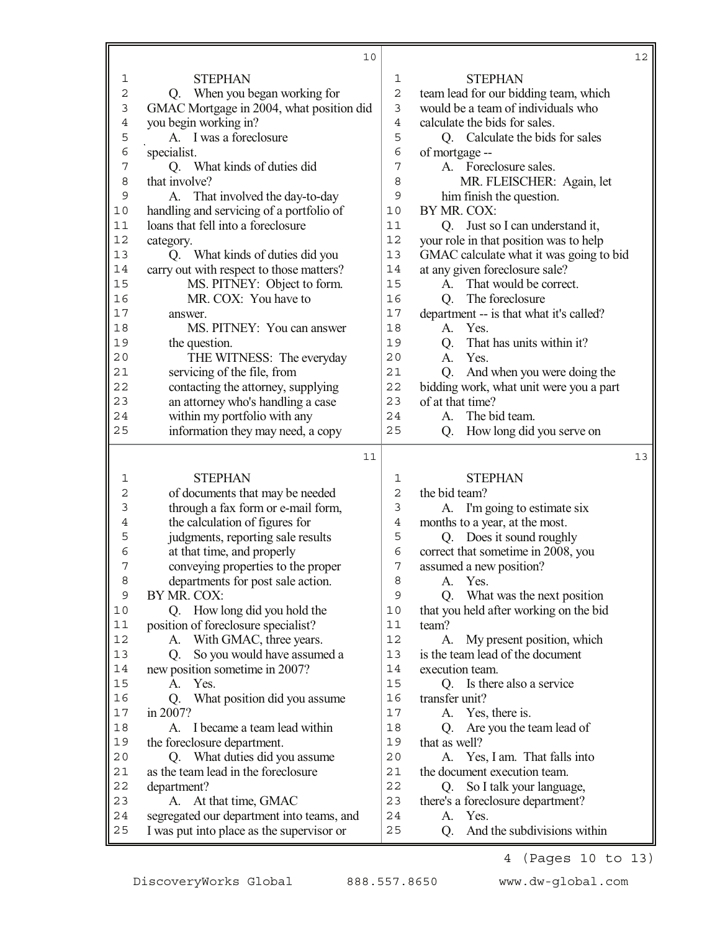|             | 10                                                                                     |                | 12                                              |
|-------------|----------------------------------------------------------------------------------------|----------------|-------------------------------------------------|
| 1           | <b>STEPHAN</b>                                                                         | $\mathbf{1}$   | <b>STEPHAN</b>                                  |
| $\mathbf 2$ | Q. When you began working for                                                          | $\overline{c}$ | team lead for our bidding team, which           |
| 3           | GMAC Mortgage in 2004, what position did                                               | $\mathbf{3}$   | would be a team of individuals who              |
| 4           | you begin working in?                                                                  | $\overline{4}$ | calculate the bids for sales.                   |
| 5           | A. I was a foreclosure                                                                 | 5              | Q. Calculate the bids for sales                 |
| 6           | specialist.                                                                            | 6              | of mortgage --                                  |
| 7           | Q. What kinds of duties did                                                            | 7              | A. Foreclosure sales.                           |
| 8           | that involve?                                                                          | 8              | MR. FLEISCHER: Again, let                       |
| 9           | A. That involved the day-to-day                                                        | 9              | him finish the question.                        |
| 10          | handling and servicing of a portfolio of                                               | 10             | BY MR. COX:                                     |
| 11          | loans that fell into a foreclosure                                                     | 11             | Q. Just so I can understand it,                 |
| 12          | category.                                                                              | 12             | your role in that position was to help          |
| 13          | Q. What kinds of duties did you                                                        | 13             | GMAC calculate what it was going to bid         |
| 14          | carry out with respect to those matters?                                               | 14             | at any given foreclosure sale?                  |
| 15          | MS. PITNEY: Object to form.                                                            | 15             | That would be correct.<br>A.                    |
| 16          | MR. COX: You have to                                                                   | 16             | The foreclosure<br>Q.                           |
| 17          | answer.                                                                                | 17             | department -- is that what it's called?         |
| 18          | MS. PITNEY: You can answer                                                             | 18             | Yes.<br>A.                                      |
| 19          | the question.                                                                          | 19             | That has units within it?<br>Q.                 |
| 20          | THE WITNESS: The everyday                                                              | 20             | Yes.<br>A.                                      |
| 21          | servicing of the file, from                                                            | 21             | And when you were doing the<br>Q.               |
| 22          | contacting the attorney, supplying                                                     | 22             | bidding work, what unit were you a part         |
| 23          | an attorney who's handling a case                                                      | 23             | of at that time?                                |
| 24          | within my portfolio with any                                                           | 24             | The bid team.<br>А.                             |
| 25          | information they may need, a copy                                                      | 25             | How long did you serve on<br>Q.                 |
|             |                                                                                        |                |                                                 |
|             | 11                                                                                     |                | 13                                              |
|             |                                                                                        |                |                                                 |
| 1           | <b>STEPHAN</b>                                                                         | 1<br>2         | <b>STEPHAN</b>                                  |
| 2           | of documents that may be needed                                                        | 3              | the bid team?                                   |
| 3<br>4      | through a fax form or e-mail form,                                                     | $\overline{4}$ | A. I'm going to estimate six                    |
|             | the calculation of figures for                                                         | 5              | months to a year, at the most.                  |
| 5<br>6      | judgments, reporting sale results                                                      | 6              | Q. Does it sound roughly                        |
| 7           | at that time, and properly                                                             | 7              | correct that sometime in 2008, you              |
| 8           | conveying properties to the proper                                                     | 8              | assumed a new position?<br>Yes.<br>A.           |
| 9           | departments for post sale action.<br>BY MR. COX:                                       | 9              | Q.                                              |
| 10          |                                                                                        | 10             | What was the next position                      |
| 11          | Q. How long did you hold the<br>position of foreclosure specialist?                    | 11             | that you held after working on the bid<br>team? |
| 12          | With GMAC, three years.<br>A.                                                          | 12             | My present position, which<br>A.                |
| 13          | So you would have assumed a<br>Q.                                                      | 13             | is the team lead of the document                |
| 14          | new position sometime in 2007?                                                         | 14             | execution team.                                 |
| 15          | Yes.<br>A.                                                                             | 15             | Q. Is there also a service                      |
| 16          | What position did you assume<br>Q.                                                     | 16             | transfer unit?                                  |
| $17\,$      | in 2007?                                                                               | 17             | A. Yes, there is.                               |
| $18\,$      | A.<br>I became a team lead within                                                      | 18             | Are you the team lead of<br>Q.                  |
| 19          | the foreclosure department.                                                            | 19             | that as well?                                   |
| 20          | Q. What duties did you assume                                                          | 20             | Yes, I am. That falls into<br>A.                |
| 21          | as the team lead in the foreclosure                                                    | 21             | the document execution team.                    |
| 22          | department?                                                                            | 22             | So I talk your language,<br>O.                  |
| 23          | At that time, GMAC<br>A.                                                               | 23             | there's a foreclosure department?               |
| 24<br>25    | segregated our department into teams, and<br>I was put into place as the supervisor or | 24<br>25       | Yes.<br>A.<br>And the subdivisions within<br>Q. |

4 (Pages 10 to 13)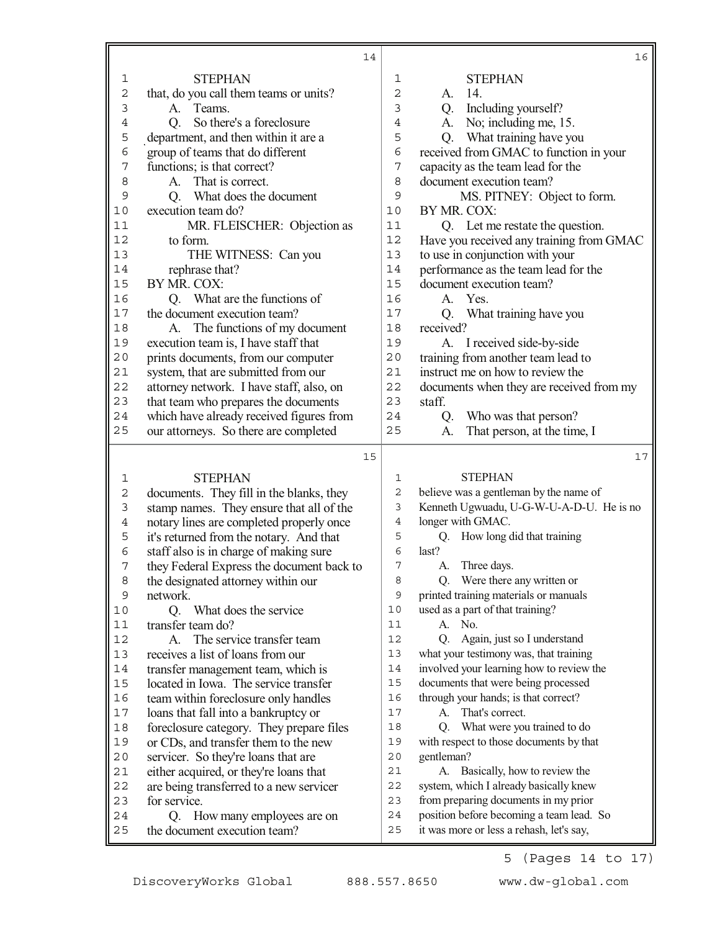|                | 14                                                              |                | 16                                                                                   |
|----------------|-----------------------------------------------------------------|----------------|--------------------------------------------------------------------------------------|
| 1              | <b>STEPHAN</b>                                                  | $\mathbf 1$    | <b>STEPHAN</b>                                                                       |
| $\overline{c}$ | that, do you call them teams or units?                          | 2              | 14.<br>A.                                                                            |
| $\mathfrak{Z}$ | Teams.<br>A.                                                    | 3              | Including yourself?<br>Q.                                                            |
| $\overline{4}$ | So there's a foreclosure<br>Q.                                  | $\overline{4}$ | No; including me, 15.<br>А.                                                          |
| 5              | department, and then within it are a                            | 5              | What training have you<br>Q.                                                         |
| 6              | group of teams that do different                                | 6              | received from GMAC to function in your                                               |
| 7              | functions; is that correct?                                     | 7              | capacity as the team lead for the                                                    |
| 8              | That is correct.<br>A.                                          | 8              | document execution team?                                                             |
| 9              | What does the document<br>Q.                                    | 9              | MS. PITNEY: Object to form.                                                          |
| 10             | execution team do?                                              | 10             | BY MR. COX:                                                                          |
| 11             | MR. FLEISCHER: Objection as                                     | 11             | Q. Let me restate the question.                                                      |
| 12             | to form.                                                        | 12             | Have you received any training from GMAC                                             |
| 13             | THE WITNESS: Can you                                            | 13             | to use in conjunction with your                                                      |
| 14             | rephrase that?                                                  | 14             | performance as the team lead for the                                                 |
| 15             | BY MR. COX:                                                     | 15             | document execution team?                                                             |
| 16             | What are the functions of<br>Q.                                 | 16             | A. Yes.                                                                              |
| 17             | the document execution team?                                    | 17             | What training have you<br>Q.                                                         |
| 18             | A. The functions of my document                                 | 18             | received?                                                                            |
| 19             | execution team is, I have staff that                            | 19             | I received side-by-side<br>А.                                                        |
| $20$           | prints documents, from our computer                             | 20             | training from another team lead to                                                   |
| 21             | system, that are submitted from our                             | 21             | instruct me on how to review the                                                     |
| 22             | attorney network. I have staff, also, on                        | 22             | documents when they are received from my                                             |
| 23             | that team who prepares the documents                            | 23             | staff.                                                                               |
| 24             | which have already received figures from                        | 24             | Who was that person?<br>Q.                                                           |
| 25             | our attorneys. So there are completed                           | 25             | That person, at the time, I<br>A.                                                    |
|                | 15                                                              |                | 17                                                                                   |
|                |                                                                 |                |                                                                                      |
|                |                                                                 |                |                                                                                      |
| 1              | <b>STEPHAN</b>                                                  | 1              | <b>STEPHAN</b>                                                                       |
| $\sqrt{2}$     | documents. They fill in the blanks, they                        | $\sqrt{2}$     | believe was a gentleman by the name of                                               |
| $\mathfrak{Z}$ | stamp names. They ensure that all of the                        | 3              | Kenneth Ugwuadu, U-G-W-U-A-D-U. He is no                                             |
| $\,4$          | notary lines are completed properly once                        | 4              | longer with GMAC.                                                                    |
| 5              | it's returned from the notary. And that                         | 5              | How long did that training<br>Q.                                                     |
| $\epsilon$     | staff also is in charge of making sure                          | 6              | last?                                                                                |
| 7              | they Federal Express the document back to                       | 7              | Three days.<br>A.                                                                    |
| 8              | the designated attorney within our                              | 8              | Q. Were there any written or                                                         |
| 9              | network.                                                        | 9              | printed training materials or manuals                                                |
| 10             | What does the service<br>Q.                                     | 10             | used as a part of that training?                                                     |
| $11$           | transfer team do?                                               | 11             | A.<br>No.                                                                            |
| 12             | The service transfer team<br>A.                                 | 12             | Again, just so I understand<br>O.                                                    |
| 13             | receives a list of loans from our                               | 13             | what your testimony was, that training                                               |
| 14             | transfer management team, which is                              | 14             | involved your learning how to review the                                             |
| 15             | located in Iowa. The service transfer                           | 15             | documents that were being processed                                                  |
| 16             | team within foreclosure only handles                            | 16             | through your hands; is that correct?                                                 |
| $17\,$         | loans that fall into a bankruptcy or                            | 17             | A. That's correct.                                                                   |
| $1\,8$         | foreclosure category. They prepare files                        | 18             | What were you trained to do<br>Q.                                                    |
| 19             | or CDs, and transfer them to the new                            | 19             | with respect to those documents by that                                              |
| $20$           | servicer. So they're loans that are                             | 20             | gentleman?                                                                           |
| 21             | either acquired, or they're loans that                          | 21             | Basically, how to review the<br>А.                                                   |
| 22             | are being transferred to a new servicer                         | 22             | system, which I already basically knew                                               |
| 23             | for service.                                                    | 23             | from preparing documents in my prior                                                 |
| 24<br>25       | How many employees are on<br>Q.<br>the document execution team? | 24<br>25       | position before becoming a team lead. So<br>it was more or less a rehash, let's say, |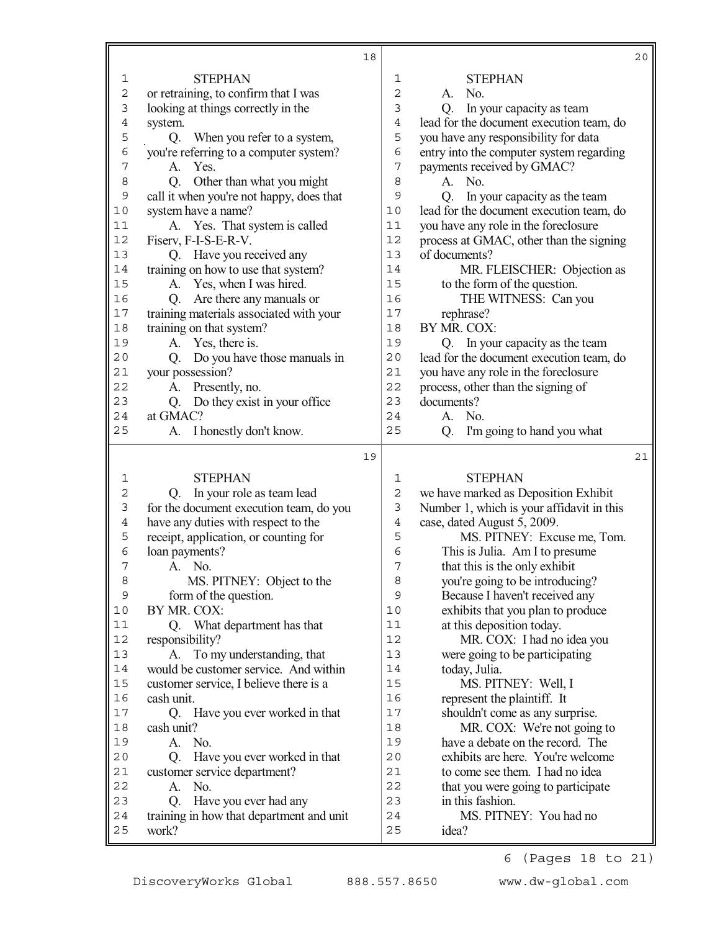|                  |                                                   | 18 |                |                                           | 20 |
|------------------|---------------------------------------------------|----|----------------|-------------------------------------------|----|
| $\mathbf 1$      | <b>STEPHAN</b>                                    |    | 1              | <b>STEPHAN</b>                            |    |
| $\mathbf 2$      | or retraining, to confirm that I was              |    | $\overline{c}$ | No.<br>A.                                 |    |
| 3                | looking at things correctly in the                |    | 3              | In your capacity as team<br>Q.            |    |
| $\ensuremath{4}$ | system.                                           |    | $\overline{4}$ | lead for the document execution team, do  |    |
| 5                | When you refer to a system,<br>Q.                 |    | 5              | you have any responsibility for data      |    |
| 6                | you're referring to a computer system?            |    | 6              | entry into the computer system regarding  |    |
| 7                | Yes.<br>A.                                        |    | 7              | payments received by GMAC?                |    |
| 8                | Other than what you might<br>Q.                   |    | 8              | No.<br>A.                                 |    |
| 9                | call it when you're not happy, does that          |    | 9              | In your capacity as the team<br>Q.        |    |
| 10               | system have a name?                               |    | 10             | lead for the document execution team, do  |    |
| 11               | A. Yes. That system is called                     |    | 11             | you have any role in the foreclosure      |    |
| 12               | Fiserv, F-I-S-E-R-V.                              |    | 12             | process at GMAC, other than the signing   |    |
| 13               | Q. Have you received any                          |    | 13             | of documents?                             |    |
| 14               | training on how to use that system?               |    | 14             | MR. FLEISCHER: Objection as               |    |
| 15               | A. Yes, when I was hired.                         |    | 15             | to the form of the question.              |    |
| 16               | Are there any manuals or<br>Q.                    |    | 16             | THE WITNESS: Can you                      |    |
| 17               | training materials associated with your           |    | 17             | rephrase?                                 |    |
| 18               | training on that system?                          |    | 18             | BY MR. COX:                               |    |
| 19               | Yes, there is.<br>A.                              |    | 19             | Q. In your capacity as the team           |    |
| 20               | Do you have those manuals in<br>Q.                |    | 20             | lead for the document execution team, do  |    |
| 21               | your possession?                                  |    | 21             | you have any role in the foreclosure      |    |
| 22               | Presently, no.<br>A.                              |    | 22             | process, other than the signing of        |    |
| 23               | Q. Do they exist in your office                   |    | 23             | documents?                                |    |
| 24               | at GMAC?                                          |    | 24             | A. No.                                    |    |
| 25               | A. I honestly don't know.                         |    | 25             | I'm going to hand you what<br>Q.          |    |
|                  |                                                   |    |                |                                           |    |
|                  |                                                   |    |                |                                           |    |
|                  |                                                   | 19 |                |                                           | 21 |
| 1                | <b>STEPHAN</b>                                    |    | 1              | <b>STEPHAN</b>                            |    |
| 2                | In your role as team lead<br>Q.                   |    | $\overline{c}$ | we have marked as Deposition Exhibit      |    |
| 3                | for the document execution team, do you           |    | 3              | Number 1, which is your affidavit in this |    |
| 4                | have any duties with respect to the               |    | $\overline{4}$ | case, dated August 5, 2009.               |    |
| 5                | receipt, application, or counting for             |    | 5              | MS. PITNEY: Excuse me, Tom.               |    |
| $\epsilon$       | loan payments?                                    |    | 6              | This is Julia. Am I to presume            |    |
| 7                | No.<br>A.                                         |    | 7              | that this is the only exhibit             |    |
| 8                | MS. PITNEY: Object to the                         |    | 8              | you're going to be introducing?           |    |
| $\mathsf 9$      | form of the question.                             |    | 9              | Because I haven't received any            |    |
| 10               | BY MR. COX:                                       |    | 10             | exhibits that you plan to produce         |    |
| 11               | Q. What department has that                       |    | 11             | at this deposition today.                 |    |
| 12               | responsibility?                                   |    | 12             | MR. COX: I had no idea you                |    |
| 13               | To my understanding, that<br>А.                   |    | 13             | were going to be participating            |    |
| 14               | would be customer service. And within             |    | 14             | today, Julia.                             |    |
| 15               | customer service, I believe there is a            |    | 15             | MS. PITNEY: Well, I                       |    |
| 16               | cash unit.                                        |    | 16             | represent the plaintiff. It               |    |
| 17               | Q. Have you ever worked in that                   |    | 17             | shouldn't come as any surprise.           |    |
| 18               | cash unit?                                        |    | 18             | MR. COX: We're not going to               |    |
| 19               | A. No.                                            |    | 19             | have a debate on the record. The          |    |
| 20               | Q <sub>r</sub><br>Have you ever worked in that    |    | 20             | exhibits are here. You're welcome         |    |
| 21               | customer service department?                      |    | 21             | to come see them. I had no idea           |    |
| 22               | No.<br>A.                                         |    | 22             | that you were going to participate        |    |
| 23               | Have you ever had any<br>Q.                       |    | 23             | in this fashion.                          |    |
| 24<br>25         | training in how that department and unit<br>work? |    | 24<br>25       | MS. PITNEY: You had no<br>idea?           |    |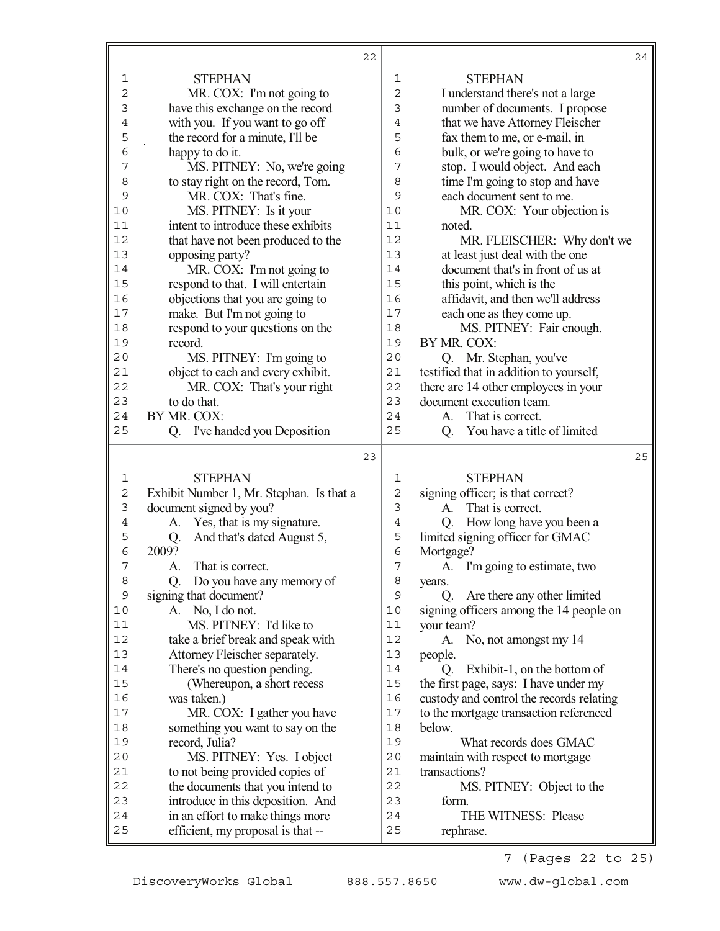|             | 22                                                                    |                | 24                                                    |
|-------------|-----------------------------------------------------------------------|----------------|-------------------------------------------------------|
| 1           | <b>STEPHAN</b>                                                        | 1              | <b>STEPHAN</b>                                        |
| 2           | MR. COX: I'm not going to                                             | $\overline{c}$ | I understand there's not a large                      |
| 3           | have this exchange on the record                                      | 3              | number of documents. I propose                        |
| 4           | with you. If you want to go off                                       | 4              | that we have Attorney Fleischer                       |
| 5           | the record for a minute, I'll be                                      | 5              | fax them to me, or e-mail, in                         |
| 6           | happy to do it.                                                       | 6              | bulk, or we're going to have to                       |
| 7           | MS. PITNEY: No, we're going                                           | 7              | stop. I would object. And each                        |
| 8           | to stay right on the record, Tom.                                     | 8              | time I'm going to stop and have                       |
| 9           | MR. COX: That's fine.                                                 | 9              | each document sent to me.                             |
| 10          | MS. PITNEY: Is it your                                                | 10             | MR. COX: Your objection is                            |
| 11          | intent to introduce these exhibits                                    | 11             | noted.                                                |
| 12          | that have not been produced to the                                    | 12             | MR. FLEISCHER: Why don't we                           |
| 13          | opposing party?                                                       | 13             | at least just deal with the one                       |
| 14          | MR. COX: I'm not going to                                             | 14             | document that's in front of us at                     |
| 15          | respond to that. I will entertain                                     | 15             | this point, which is the                              |
| 16          | objections that you are going to                                      | 16             | affidavit, and then we'll address                     |
| 17          | make. But I'm not going to                                            | 17             | each one as they come up.                             |
| 18          | respond to your questions on the                                      | 18             | MS. PITNEY: Fair enough.                              |
| 19          | record.                                                               | 19             | BY MR. COX:                                           |
| 20          | MS. PITNEY: I'm going to                                              | 20             | Q. Mr. Stephan, you've                                |
| 21          | object to each and every exhibit.                                     | 21             | testified that in addition to yourself,               |
| 22          | MR. COX: That's your right                                            | 22             | there are 14 other employees in your                  |
| 23          | to do that.                                                           | 23             | document execution team.                              |
| 24          | BY MR. COX:                                                           | 24             | That is correct.<br>A.                                |
| 25          | I've handed you Deposition<br>Q.                                      | 25             | You have a title of limited<br>Q.                     |
|             |                                                                       |                |                                                       |
|             | 23                                                                    |                | 25                                                    |
|             |                                                                       |                |                                                       |
| 1           | <b>STEPHAN</b>                                                        | 1              | <b>STEPHAN</b>                                        |
| 2           | Exhibit Number 1, Mr. Stephan. Is that a                              | $\overline{c}$ | signing officer; is that correct?                     |
| 3<br>4      | document signed by you?                                               | 3              | That is correct.<br>A.                                |
|             | A. Yes, that is my signature.                                         | $\overline{4}$ | How long have you been a<br>Q.                        |
| 5<br>6      | And that's dated August 5,<br>Q.<br>2009?                             | 5<br>6         | limited signing officer for GMAC                      |
| 7           | That is correct.<br>А.                                                | 7              | Mortgage?                                             |
| 8           |                                                                       | 8              | A. I'm going to estimate, two                         |
| $\mathsf 9$ | Do you have any memory of<br>Q.                                       | 9              | years.<br>Q.                                          |
| 10          | signing that document?<br>A. No, I do not.                            | 10             | Are there any other limited                           |
| 11          | MS. PITNEY: I'd like to                                               | 11             | signing officers among the 14 people on<br>your team? |
| 12          | take a brief break and speak with                                     | 12             | A.<br>No, not amongst my 14                           |
| 13          | Attorney Fleischer separately.                                        | 13             | people.                                               |
| 14          | There's no question pending.                                          | 14             | Exhibit-1, on the bottom of<br>Q.                     |
| 15          | (Whereupon, a short recess                                            | 15             | the first page, says: I have under my                 |
| 16          | was taken.)                                                           | 16             | custody and control the records relating              |
| 17          | MR. COX: I gather you have                                            | 17             | to the mortgage transaction referenced                |
| 18          | something you want to say on the                                      | 18             | below.                                                |
| 19          | record, Julia?                                                        | 19             | What records does GMAC                                |
| 20          | MS. PITNEY: Yes. I object                                             | 20             | maintain with respect to mortgage                     |
| 21          | to not being provided copies of                                       | 21             | transactions?                                         |
| 22          | the documents that you intend to                                      | 22             | MS. PITNEY: Object to the                             |
| 23          | introduce in this deposition. And                                     | 23             | form.                                                 |
| 24<br>25    | in an effort to make things more<br>efficient, my proposal is that -- | 24<br>25       | THE WITNESS: Please<br>rephrase.                      |

7 (Pages 22 to 25)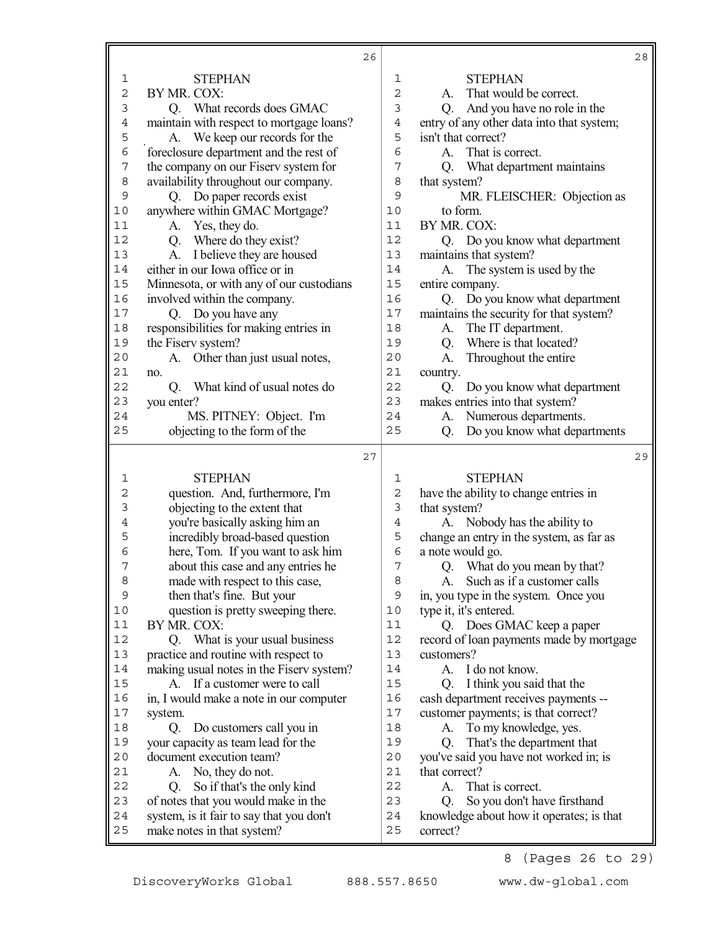|                |                                                                         | 26 |                |                                                              | 28 |
|----------------|-------------------------------------------------------------------------|----|----------------|--------------------------------------------------------------|----|
| $\mathbf{1}$   | <b>STEPHAN</b>                                                          |    | 1              | <b>STEPHAN</b>                                               |    |
| $\overline{2}$ | BY MR. COX:                                                             |    | $\overline{2}$ | A. That would be correct.                                    |    |
| $\mathfrak{Z}$ | Q. What records does GMAC                                               |    | 3              | And you have no role in the<br>Q.                            |    |
| $\,4$          | maintain with respect to mortgage loans?                                |    | $\overline{4}$ | entry of any other data into that system;                    |    |
| 5              | A. We keep our records for the                                          |    | 5              | isn't that correct?                                          |    |
| 6              | foreclosure department and the rest of                                  |    | 6              | That is correct.<br>A.                                       |    |
| $\overline{7}$ | the company on our Fiserv system for                                    |    | 7              | What department maintains<br>Q.                              |    |
| 8              | availability throughout our company.                                    |    | 8              | that system?                                                 |    |
| 9              | Q. Do paper records exist                                               |    | 9              | MR. FLEISCHER: Objection as                                  |    |
| $10$           | anywhere within GMAC Mortgage?                                          |    | 10             | to form.                                                     |    |
| 11             | A. Yes, they do.                                                        |    | 11             | BY MR. COX:                                                  |    |
| 12             | Q. Where do they exist?                                                 |    | 12             | Q. Do you know what department                               |    |
| 13             | I believe they are housed<br>A.                                         |    | 13             | maintains that system?                                       |    |
| 14             | either in our Iowa office or in                                         |    | 14             | A. The system is used by the                                 |    |
| 15             | Minnesota, or with any of our custodians                                |    | 15             | entire company.                                              |    |
| 16             | involved within the company.                                            |    | 16             | Q. Do you know what department                               |    |
| 17             | Q. Do you have any                                                      |    | 17             | maintains the security for that system?                      |    |
| $18\,$         | responsibilities for making entries in                                  |    | 18             | The IT department.<br>A.                                     |    |
| 19             | the Fiserv system?                                                      |    | 19             | Where is that located?<br>Q.                                 |    |
| 20             | Other than just usual notes,<br>A.                                      |    | 20             | Throughout the entire<br>A.                                  |    |
| 21             | no.                                                                     |    | 21             | country.                                                     |    |
| 22             | What kind of usual notes do<br>Q.                                       |    | 22             | Do you know what department<br>Q.                            |    |
| 23             | you enter?                                                              |    | 23             | makes entries into that system?                              |    |
| 24             | MS. PITNEY: Object. I'm                                                 |    | 24             | Numerous departments.<br>A.                                  |    |
| 25             | objecting to the form of the                                            |    | 25             | Do you know what departments<br>Q.                           |    |
|                |                                                                         |    |                |                                                              |    |
|                |                                                                         | 27 |                |                                                              | 29 |
| 1              | <b>STEPHAN</b>                                                          |    | 1              | <b>STEPHAN</b>                                               |    |
| 2              |                                                                         |    | $\overline{2}$ |                                                              |    |
| 3              | question. And, furthermore, I'm                                         |    | 3              | have the ability to change entries in                        |    |
| 4              | objecting to the extent that                                            |    | 4              | that system?                                                 |    |
| 5              | you're basically asking him an<br>incredibly broad-based question       |    | 5              | A. Nobody has the ability to                                 |    |
| 6              |                                                                         |    | 6              | change an entry in the system, as far as<br>a note would go. |    |
| 7              | here, Tom. If you want to ask him<br>about this case and any entries he |    | 7              | Q. What do you mean by that?                                 |    |
| 8              | made with respect to this case,                                         |    | 8              | Such as if a customer calls<br>A.                            |    |
| 9              | then that's fine. But your                                              |    | 9              | in, you type in the system. Once you                         |    |
| $10$           | question is pretty sweeping there.                                      |    | 10             | type it, it's entered.                                       |    |
| 11             | BY MR. COX:                                                             |    | 11             | Q. Does GMAC keep a paper                                    |    |
| 12             | Q. What is your usual business                                          |    | 12             | record of loan payments made by mortgage                     |    |
| 13             | practice and routine with respect to                                    |    | 13             | customers?                                                   |    |
| 14             | making usual notes in the Fiserv system?                                |    | 14             | I do not know.<br>A.                                         |    |
| 15             | A. If a customer were to call                                           |    | 15             | I think you said that the<br>O.                              |    |
| 16             | in, I would make a note in our computer                                 |    | 16             | cash department receives payments --                         |    |
| $17$           | system.                                                                 |    | $17$           | customer payments; is that correct?                          |    |
| 18             | Do customers call you in<br>Q.                                          |    | 18             | To my knowledge, yes.<br>A.                                  |    |
| 19             | your capacity as team lead for the                                      |    | 19             | That's the department that<br>Q.                             |    |
| $2\,0$         | document execution team?                                                |    | 20             | you've said you have not worked in; is                       |    |
| 21             | No, they do not.<br>A.                                                  |    | 21             | that correct?                                                |    |
| 22             | So if that's the only kind<br>Q.                                        |    | 22             | That is correct.<br>A.                                       |    |
| 23             | of notes that you would make in the                                     |    | 23             | So you don't have firsthand<br>O.                            |    |
| 24<br>25       | system, is it fair to say that you don't<br>make notes in that system?  |    | 24<br>25       | knowledge about how it operates; is that<br>correct?         |    |

8 (Pages 26 to 29)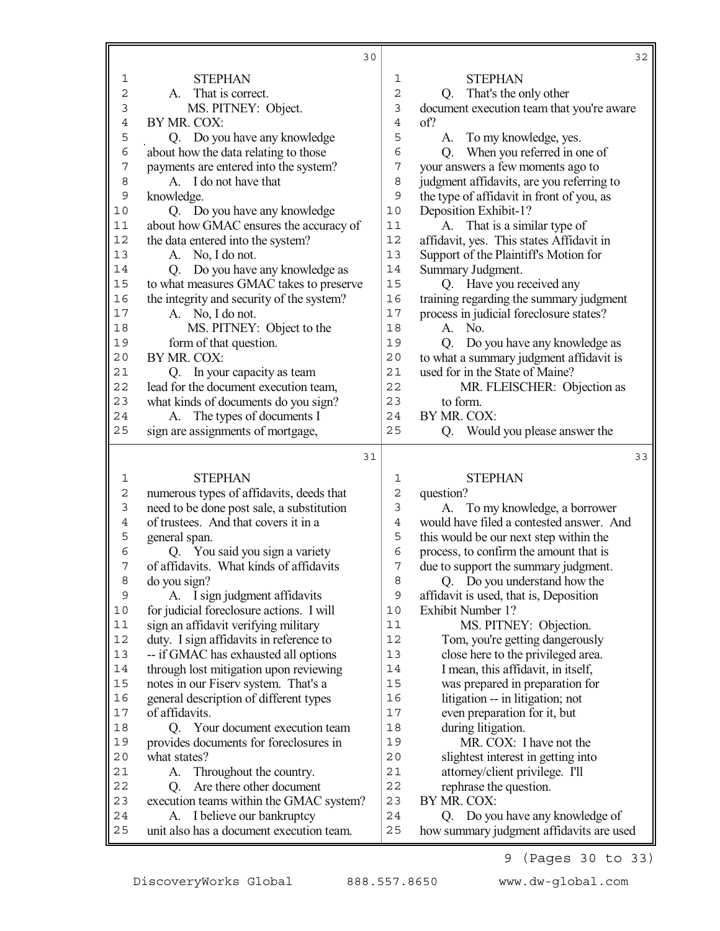|                               | 30                                                                                |                | 32                                                                               |
|-------------------------------|-----------------------------------------------------------------------------------|----------------|----------------------------------------------------------------------------------|
| 1                             | <b>STEPHAN</b>                                                                    | 1              | <b>STEPHAN</b>                                                                   |
| $\mathbf 2$                   | A. That is correct.                                                               | $\overline{2}$ | Q. That's the only other                                                         |
| $\mathsf 3$                   | MS. PITNEY: Object.                                                               | 3              | document execution team that you're aware                                        |
| $\,4$                         | BY MR. COX:                                                                       | $\overline{4}$ | of?                                                                              |
| 5                             | Q. Do you have any knowledge                                                      | 5              | To my knowledge, yes.<br>А.                                                      |
| $\epsilon$                    | about how the data relating to those                                              | 6              | When you referred in one of<br>Q.                                                |
| 7                             | payments are entered into the system?                                             | 7              | your answers a few moments ago to                                                |
| 8                             | A. I do not have that                                                             | 8              | judgment affidavits, are you referring to                                        |
| $\mathsf 9$                   | knowledge.                                                                        | 9              | the type of affidavit in front of you, as                                        |
| 10                            | Q. Do you have any knowledge                                                      | 10             | Deposition Exhibit-1?                                                            |
| 11                            | about how GMAC ensures the accuracy of                                            | 11             | A. That is a similar type of                                                     |
| 12                            | the data entered into the system?                                                 | 12             | affidavit, yes. This states Affidavit in                                         |
| 13                            | A. No, I do not.                                                                  | 13             | Support of the Plaintiff's Motion for                                            |
| 14                            | Do you have any knowledge as<br>Q.                                                | 14             | Summary Judgment.                                                                |
| 15                            | to what measures GMAC takes to preserve                                           | 15             | Q. Have you received any                                                         |
| 16                            | the integrity and security of the system?                                         | 16             | training regarding the summary judgment                                          |
| 17                            | A. No, I do not.                                                                  | 17             | process in judicial foreclosure states?                                          |
| 18                            | MS. PITNEY: Object to the                                                         | 18             | A.<br>No.                                                                        |
| 19                            | form of that question.                                                            | 19             | Do you have any knowledge as<br>Q.                                               |
| 20                            | BY MR. COX:                                                                       | 20             | to what a summary judgment affidavit is                                          |
| 21                            | In your capacity as team<br>Q.                                                    | 21             | used for in the State of Maine?                                                  |
| 22                            | lead for the document execution team,                                             | 22             | MR. FLEISCHER: Objection as                                                      |
| 23                            | what kinds of documents do you sign?                                              | 23             | to form.                                                                         |
| 24                            | The types of documents I<br>A.                                                    | 24             | BY MR. COX:                                                                      |
| 25                            | sign are assignments of mortgage,                                                 | 25             | Would you please answer the<br>Q.                                                |
|                               |                                                                                   |                |                                                                                  |
|                               | 31                                                                                |                | 33                                                                               |
|                               |                                                                                   | 1              |                                                                                  |
| $\mathbf{1}$                  | <b>STEPHAN</b>                                                                    | $\mathbf 2$    | <b>STEPHAN</b>                                                                   |
| $\mathbf 2$<br>$\mathfrak{Z}$ | numerous types of affidavits, deeds that                                          | 3              | question?                                                                        |
| $\overline{4}$                | need to be done post sale, a substitution<br>of trustees. And that covers it in a | $\overline{4}$ | To my knowledge, a borrower<br>А.<br>would have filed a contested answer. And    |
| 5                             | general span.                                                                     | 5              |                                                                                  |
| 6                             | Q. You said you sign a variety                                                    | 6              | this would be our next step within the<br>process, to confirm the amount that is |
| 7                             | of affidavits. What kinds of affidavits                                           | 7              |                                                                                  |
| 8                             | do you sign?                                                                      | 8              | due to support the summary judgment.<br>Q. Do you understand how the             |
| 9                             | I sign judgment affidavits<br>А.                                                  | 9              | affidavit is used, that is, Deposition                                           |
| 10                            | for judicial foreclosure actions. I will                                          | 10             | <b>Exhibit Number 1?</b>                                                         |
| 11                            | sign an affidavit verifying military                                              | 11             | MS. PITNEY: Objection.                                                           |
| 12                            | duty. I sign affidavits in reference to                                           | 12             | Tom, you're getting dangerously                                                  |
| 13                            | -- if GMAC has exhausted all options                                              | 13             | close here to the privileged area.                                               |
| 14                            | through lost mitigation upon reviewing                                            | 14             | I mean, this affidavit, in itself,                                               |
| 15                            | notes in our Fiserv system. That's a                                              | 15             | was prepared in preparation for                                                  |
| 16                            | general description of different types                                            | 16             | litigation -- in litigation; not                                                 |
| 17                            | of affidavits.                                                                    | 17             | even preparation for it, but                                                     |
| 18                            | Q. Your document execution team                                                   | 18             | during litigation.                                                               |
| 19                            | provides documents for foreclosures in                                            | 19             | MR. COX: I have not the                                                          |
| 20                            | what states?                                                                      | 20             | slightest interest in getting into                                               |
| 21                            | Throughout the country.<br>A.                                                     | 21             | attorney/client privilege. I'll                                                  |
| 22                            | Are there other document<br>Q.                                                    | 22             | rephrase the question.                                                           |
| 23                            | execution teams within the GMAC system?                                           | 23             | BY MR. COX:                                                                      |
| 24<br>25                      | I believe our bankruptcy<br>A.<br>unit also has a document execution team.        | 24<br>25       | Do you have any knowledge of<br>Q.<br>how summary judgment affidavits are used   |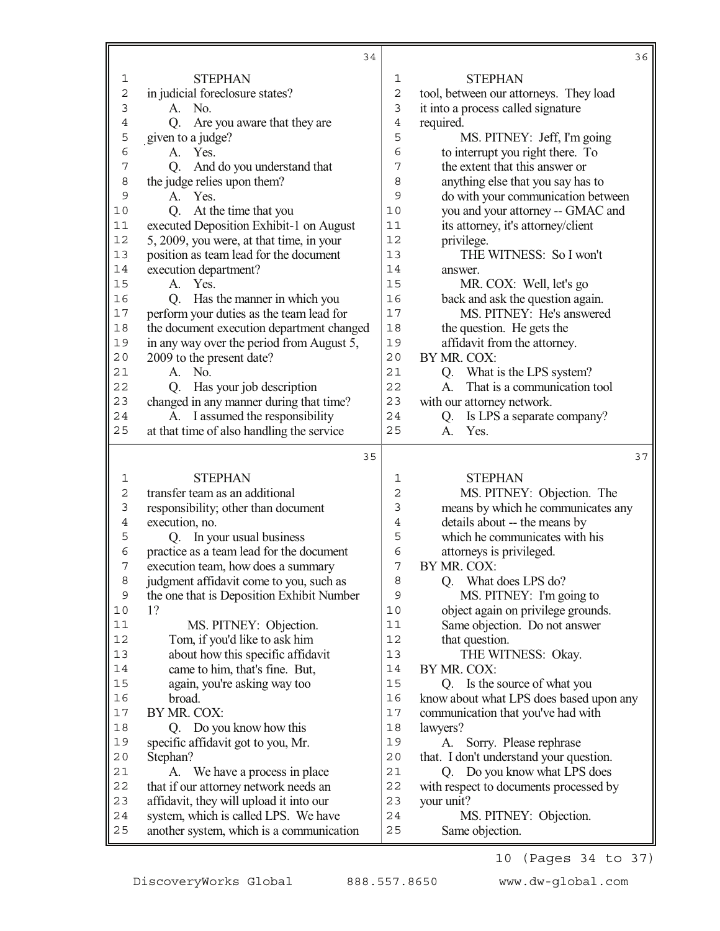|                     | 34                                                                               |                     | 36                                                              |
|---------------------|----------------------------------------------------------------------------------|---------------------|-----------------------------------------------------------------|
| 1                   | <b>STEPHAN</b>                                                                   | 1                   | <b>STEPHAN</b>                                                  |
| $\overline{c}$      | in judicial foreclosure states?                                                  | $\overline{c}$      | tool, between our attorneys. They load                          |
| 3                   | No.<br>A.                                                                        | 3                   | it into a process called signature                              |
| 4                   | Are you aware that they are<br>Q.                                                | $\overline{4}$      | required.                                                       |
| 5                   | given to a judge?                                                                | 5                   | MS. PITNEY: Jeff, I'm going                                     |
| 6                   | Yes.<br>A.                                                                       | 6                   | to interrupt you right there. To                                |
| 7                   | And do you understand that<br>Q.                                                 | 7                   | the extent that this answer or                                  |
| 8                   | the judge relies upon them?                                                      | 8                   | anything else that you say has to                               |
| 9                   | A. Yes.                                                                          | 9                   | do with your communication between                              |
| 10                  | At the time that you<br>Q.                                                       | 10                  | you and your attorney -- GMAC and                               |
| 11                  | executed Deposition Exhibit-1 on August                                          | 11                  | its attorney, it's attorney/client                              |
| 12                  | 5, 2009, you were, at that time, in your                                         | 12                  | privilege.                                                      |
| 13                  | position as team lead for the document                                           | 13                  | THE WITNESS: So I won't                                         |
| 14                  | execution department?                                                            | 14                  | answer.                                                         |
| 15                  | A. Yes.                                                                          | 15                  | MR. COX: Well, let's go                                         |
| 16                  | Has the manner in which you<br>Q.                                                | 16                  | back and ask the question again.                                |
| 17                  | perform your duties as the team lead for                                         | 17                  | MS. PITNEY: He's answered                                       |
| 18                  | the document execution department changed                                        | 18                  | the question. He gets the                                       |
| 19                  | in any way over the period from August 5,                                        | 19                  | affidavit from the attorney.                                    |
| 20                  | 2009 to the present date?                                                        | 20                  | BY MR. COX:                                                     |
| 21                  | $A.$ No.                                                                         | 21                  | Q. What is the LPS system?                                      |
| 22                  | Q. Has your job description                                                      | 22                  | That is a communication tool<br>$A_{-}$                         |
| 23                  | changed in any manner during that time?                                          | 23                  | with our attorney network.                                      |
| 24                  | A. I assumed the responsibility                                                  | 24                  | Is LPS a separate company?<br>Q.                                |
| 25                  | at that time of also handling the service                                        | 25                  | Yes.<br>A.                                                      |
|                     | 35                                                                               |                     |                                                                 |
|                     |                                                                                  |                     | 37                                                              |
|                     |                                                                                  |                     |                                                                 |
| 1                   | <b>STEPHAN</b>                                                                   | 1                   | <b>STEPHAN</b>                                                  |
| $\overline{c}$      | transfer team as an additional                                                   | $\overline{2}$      | MS. PITNEY: Objection. The                                      |
| 3<br>$\overline{4}$ | responsibility; other than document                                              | 3<br>$\overline{4}$ | means by which he communicates any                              |
| 5                   | execution, no.                                                                   | 5                   | details about -- the means by<br>which he communicates with his |
| 6                   | Q. In your usual business                                                        | 6                   |                                                                 |
| 7                   | practice as a team lead for the document                                         | 7                   | attorneys is privileged.<br>BY MR. COX:                         |
| 8                   | execution team, how does a summary                                               | 8                   |                                                                 |
| 9                   | judgment affidavit come to you, such as                                          | 9                   | Q. What does LPS do?                                            |
| 10                  | the one that is Deposition Exhibit Number<br>1?                                  | 10                  | MS. PITNEY: I'm going to<br>object again on privilege grounds.  |
| $11$                | MS. PITNEY: Objection.                                                           | 11                  | Same objection. Do not answer                                   |
| 12                  | Tom, if you'd like to ask him                                                    | 12                  | that question.                                                  |
| 13                  | about how this specific affidavit                                                | 13                  | THE WITNESS: Okay.                                              |
| 14                  | came to him, that's fine. But,                                                   | 14                  | BY MR. COX:                                                     |
| 15                  | again, you're asking way too                                                     | 15                  | Q. Is the source of what you                                    |
| 16                  | broad.                                                                           | 16                  | know about what LPS does based upon any                         |
| $17$                | BY MR. COX:                                                                      | 17                  | communication that you've had with                              |
| 18                  | Q. Do you know how this                                                          | 18                  | lawyers?                                                        |
| 19                  | specific affidavit got to you, Mr.                                               | 19                  | Sorry. Please rephrase<br>А.                                    |
| 20                  | Stephan?                                                                         | 20                  | that. I don't understand your question.                         |
| 21                  | A. We have a process in place                                                    | 21                  | Q. Do you know what LPS does                                    |
| 22                  | that if our attorney network needs an                                            | 22                  | with respect to documents processed by                          |
| 23                  | affidavit, they will upload it into our                                          | 23                  | your unit?                                                      |
| 24<br>25            | system, which is called LPS. We have<br>another system, which is a communication | 24<br>25            | MS. PITNEY: Objection.<br>Same objection.                       |

10 (Pages 34 to 37)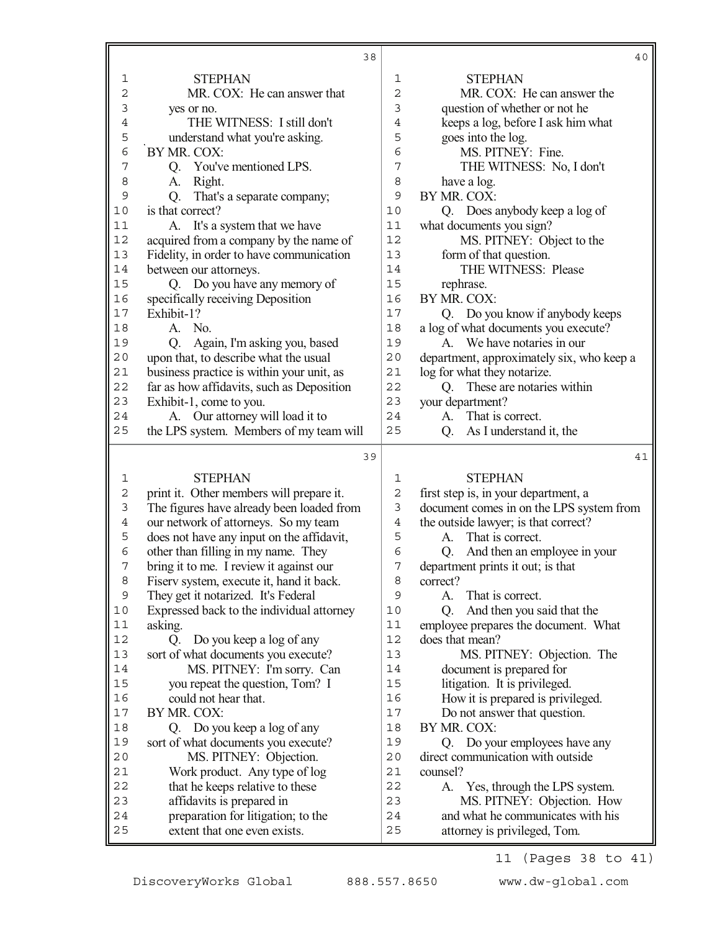|             | 38                                                                 |                | 40                                                                |
|-------------|--------------------------------------------------------------------|----------------|-------------------------------------------------------------------|
| 1           | <b>STEPHAN</b>                                                     | 1              | <b>STEPHAN</b>                                                    |
| 2           | MR. COX: He can answer that                                        | $\overline{c}$ | MR. COX: He can answer the                                        |
| 3           | yes or no.                                                         | 3              | question of whether or not he                                     |
| 4           | THE WITNESS: I still don't                                         | 4              | keeps a log, before I ask him what                                |
| 5           | understand what you're asking.                                     | 5              | goes into the log.                                                |
| 6           | BY MR. COX:                                                        | 6              | MS. PITNEY: Fine.                                                 |
| 7           | You've mentioned LPS.<br>Q.                                        | 7              | THE WITNESS: No, I don't                                          |
| 8           | Right.<br>A.                                                       | 8              | have a log.                                                       |
| 9           | That's a separate company;<br>Q.                                   | 9              | BY MR. COX:                                                       |
| 10          | is that correct?                                                   | 10             | Q. Does anybody keep a log of                                     |
| 11          | A. It's a system that we have                                      | 11             | what documents you sign?                                          |
| 12          | acquired from a company by the name of                             | 12             | MS. PITNEY: Object to the                                         |
| 13          | Fidelity, in order to have communication                           | 13             | form of that question.                                            |
| 14          | between our attorneys.                                             | 14             | THE WITNESS: Please                                               |
| 15          | Q. Do you have any memory of                                       | 15             | rephrase.                                                         |
| 16          | specifically receiving Deposition                                  | 16             | BY MR. COX:                                                       |
| 17          | Exhibit-1?                                                         | 17             | Q. Do you know if anybody keeps                                   |
| 18          | No.<br>A.                                                          | 18             | a log of what documents you execute?                              |
| 19          | Again, I'm asking you, based<br>Q.                                 | 19             | A. We have notaries in our                                        |
| 20          | upon that, to describe what the usual                              | 20             | department, approximately six, who keep a                         |
| 21          | business practice is within your unit, as                          | 21             | log for what they notarize.                                       |
| 22          | far as how affidavits, such as Deposition                          | 22             | These are notaries within<br>O.                                   |
| 23          | Exhibit-1, come to you.                                            | 23             | your department?                                                  |
| 24          | A. Our attorney will load it to                                    | 24             | That is correct.<br>A.                                            |
| 25          | the LPS system. Members of my team will                            | 25             | As I understand it, the<br>Q.                                     |
|             |                                                                    |                |                                                                   |
|             |                                                                    |                |                                                                   |
|             | 39                                                                 |                | 41                                                                |
| 1           | <b>STEPHAN</b>                                                     | 1              | <b>STEPHAN</b>                                                    |
| $\mathbf 2$ | print it. Other members will prepare it.                           | 2              | first step is, in your department, a                              |
| 3           | The figures have already been loaded from                          | 3              | document comes in on the LPS system from                          |
| $\,4$       | our network of attorneys. So my team                               | $\overline{4}$ | the outside lawyer; is that correct?                              |
| 5           | does not have any input on the affidavit,                          | 5              | That is correct.<br>A.                                            |
| 6           | other than filling in my name. They                                | 6              | And then an employee in your<br>Q.                                |
| 7           | bring it to me. I review it against our                            | 7              | department prints it out; is that                                 |
| 8           | Fiserv system, execute it, hand it back.                           | 8              | correct?                                                          |
| $\mathsf 9$ | They get it notarized. It's Federal                                | 9              | That is correct.<br>A.                                            |
| $10$        | Expressed back to the individual attorney                          | 10             | And then you said that the<br>Q.                                  |
| $11$        | asking.                                                            | 11             | employee prepares the document. What                              |
| 12          | Do you keep a log of any<br>Q.                                     | 12             | does that mean?                                                   |
| 13          | sort of what documents you execute?                                | 13             | MS. PITNEY: Objection. The                                        |
| 14          | MS. PITNEY: I'm sorry. Can                                         | 14             | document is prepared for                                          |
| 15          | you repeat the question, Tom? I                                    | 15             | litigation. It is privileged.                                     |
| 16          | could not hear that.                                               | 16             | How it is prepared is privileged.                                 |
| $17$        | BY MR. COX:                                                        | 17             | Do not answer that question.                                      |
| 18          | Q. Do you keep a log of any                                        | 18             | BY MR. COX:                                                       |
| 19          | sort of what documents you execute?                                | 19             | Q. Do your employees have any                                     |
| 20          | MS. PITNEY: Objection.                                             | 20             | direct communication with outside                                 |
| 21          | Work product. Any type of log                                      | 21             | counsel?                                                          |
| 22          | that he keeps relative to these                                    | 22             | A. Yes, through the LPS system.                                   |
| 23          | affidavits is prepared in                                          | 23             | MS. PITNEY: Objection. How                                        |
| 24<br>25    | preparation for litigation; to the<br>extent that one even exists. | 24<br>25       | and what he communicates with his<br>attorney is privileged, Tom. |

11 (Pages 38 to 41)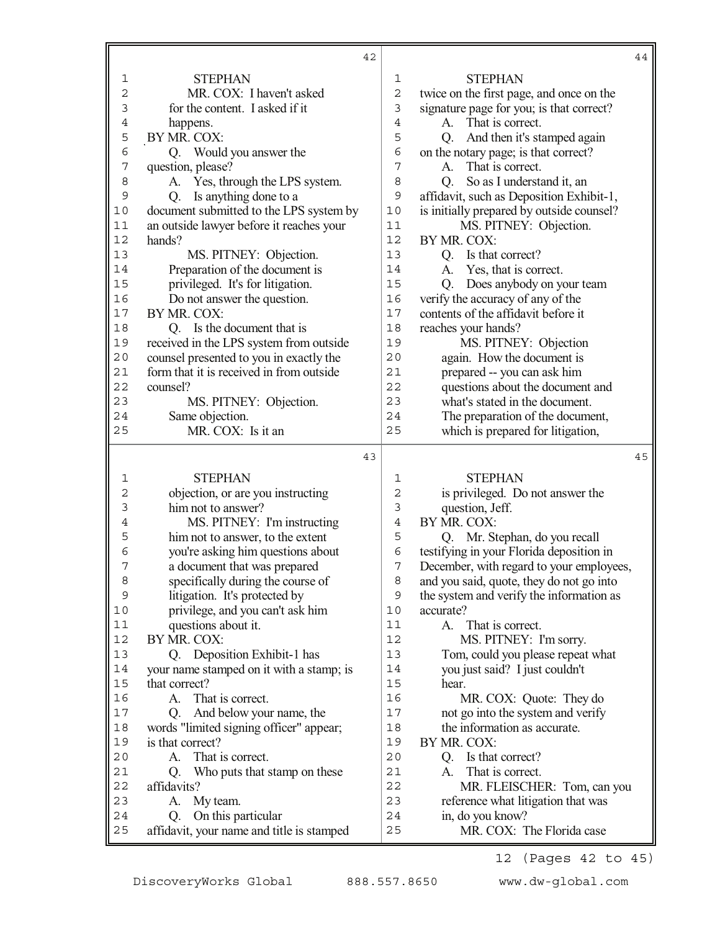|             | 42                                                                    |                |                                               | 44 |
|-------------|-----------------------------------------------------------------------|----------------|-----------------------------------------------|----|
| 1           | <b>STEPHAN</b>                                                        | 1              | <b>STEPHAN</b>                                |    |
| $\mathbf 2$ | MR. COX: I haven't asked                                              | $\overline{c}$ | twice on the first page, and once on the      |    |
| 3           | for the content. I asked if it                                        | $\mathfrak{Z}$ | signature page for you; is that correct?      |    |
| $\,4$       | happens.                                                              | $\,4$          | That is correct.<br>A.                        |    |
| 5           | BY MR. COX:                                                           | 5              | And then it's stamped again<br>Q.             |    |
| 6           | Q. Would you answer the                                               | $\epsilon$     | on the notary page; is that correct?          |    |
| $\sqrt{ }$  | question, please?                                                     | $\overline{7}$ | That is correct.<br>A.                        |    |
| 8           | A. Yes, through the LPS system.                                       | 8              | So as I understand it, an<br>Q.               |    |
| 9           | Is anything done to a<br>Q.                                           | $\mathsf 9$    | affidavit, such as Deposition Exhibit-1,      |    |
| $10$        | document submitted to the LPS system by                               | 10             | is initially prepared by outside counsel?     |    |
| 11          | an outside lawyer before it reaches your                              | 11             | MS. PITNEY: Objection.                        |    |
| 12          | hands?                                                                | 12             | BY MR. COX:                                   |    |
| 13          | MS. PITNEY: Objection.                                                | 13             | Q. Is that correct?                           |    |
| 14          | Preparation of the document is                                        | 14             | Yes, that is correct.<br>A.                   |    |
| 15          | privileged. It's for litigation.                                      | 15             | Does anybody on your team<br>Q.               |    |
| 16          | Do not answer the question.                                           | 16             | verify the accuracy of any of the             |    |
| 17          | BY MR. COX:                                                           | 17             | contents of the affidavit before it           |    |
| 18          | Q. Is the document that is                                            | 18             | reaches your hands?                           |    |
| 19          | received in the LPS system from outside                               | 19             | MS. PITNEY: Objection                         |    |
| 20          | counsel presented to you in exactly the                               | 20             | again. How the document is                    |    |
| 21          | form that it is received in from outside                              | 21             | prepared -- you can ask him                   |    |
| 22          | counsel?                                                              | 22             | questions about the document and              |    |
| 23          | MS. PITNEY: Objection.                                                | 23             | what's stated in the document.                |    |
| 24          | Same objection.                                                       | 24             | The preparation of the document,              |    |
| 25          | MR. COX: Is it an                                                     | 25             | which is prepared for litigation,             |    |
|             | 43                                                                    |                |                                               | 45 |
| 1           | <b>STEPHAN</b>                                                        | 1              | <b>STEPHAN</b>                                |    |
| $\mathbf 2$ | objection, or are you instructing                                     | $\mathbf 2$    | is privileged. Do not answer the              |    |
| 3           | him not to answer?                                                    | 3              | question, Jeff.                               |    |
| 4           | MS. PITNEY: I'm instructing                                           | $\overline{4}$ | BY MR. COX:                                   |    |
| 5           | him not to answer, to the extent                                      | 5              | Q. Mr. Stephan, do you recall                 |    |
| 6           | you're asking him questions about                                     | 6              | testifying in your Florida deposition in      |    |
| 7           | a document that was prepared                                          | 7              | December, with regard to your employees,      |    |
| 8           | specifically during the course of                                     | 8              | and you said, quote, they do not go into      |    |
| 9           | litigation. It's protected by                                         | 9              | the system and verify the information as      |    |
| 10          | privilege, and you can't ask him                                      | 10             | accurate?                                     |    |
| 11          | questions about it.                                                   | 11             | That is correct.<br>А.                        |    |
| 12          | BY MR. COX:                                                           | 12             | MS. PITNEY: I'm sorry.                        |    |
| 13          | Q. Deposition Exhibit-1 has                                           | 13             | Tom, could you please repeat what             |    |
| 14          | your name stamped on it with a stamp; is                              | 14             | you just said? I just couldn't                |    |
| 15          | that correct?                                                         | 15             | hear.                                         |    |
| 16          | A.<br>That is correct.                                                | 16             | MR. COX: Quote: They do                       |    |
| $17$        | And below your name, the<br>Q.                                        | 17             | not go into the system and verify             |    |
| 18          | words "limited signing officer" appear;                               | 18             | the information as accurate.                  |    |
| 19          | is that correct?                                                      | 19             | BY MR. COX:                                   |    |
| 20          |                                                                       |                |                                               |    |
|             | That is correct.<br>A.                                                | 20             | Is that correct?<br>Q.                        |    |
| 21          | Who puts that stamp on these<br>Q.                                    | 21             | That is correct.<br>А.                        |    |
| 22          | affidavits?                                                           | 22             | MR. FLEISCHER: Tom, can you                   |    |
| 23          | My team.<br>A.                                                        | 23             | reference what litigation that was            |    |
| 24<br>25    | On this particular<br>Q.<br>affidavit, your name and title is stamped | 24<br>25       | in, do you know?<br>MR. COX: The Florida case |    |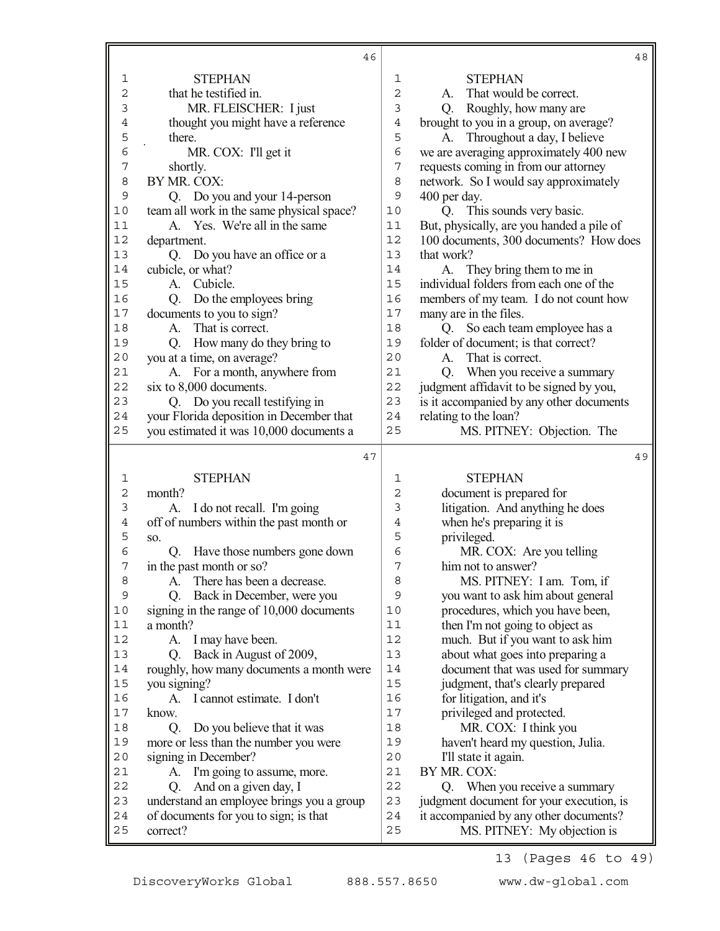|          | 46                                                      |                | 48                                        |
|----------|---------------------------------------------------------|----------------|-------------------------------------------|
| 1        | <b>STEPHAN</b>                                          | 1              | <b>STEPHAN</b>                            |
| 2        | that he testified in.                                   | 2              | That would be correct.<br>A.              |
| 3        | MR. FLEISCHER: I just                                   | 3              | Q. Roughly, how many are                  |
| 4        | thought you might have a reference                      | $\,4$          | brought to you in a group, on average?    |
| 5        | there.                                                  | 5              | A. Throughout a day, I believe            |
| 6        | MR. COX: I'll get it                                    | 6              | we are averaging approximately 400 new    |
| 7        | shortly.                                                | 7              | requests coming in from our attorney      |
| 8        | BY MR. COX:                                             | 8              | network. So I would say approximately     |
| 9        | Q. Do you and your 14-person                            | 9              | 400 per day.                              |
| $10$     | team all work in the same physical space?               | 10             | Q. This sounds very basic.                |
| 11       | A. Yes. We're all in the same                           | 11             | But, physically, are you handed a pile of |
| 12       | department.                                             | 12             | 100 documents, 300 documents? How does    |
| 13       | Q. Do you have an office or a                           | 13             | that work?                                |
| 14       | cubicle, or what?                                       | 14             | They bring them to me in<br>A.            |
| 15       | Cubicle.<br>A.                                          | 15             | individual folders from each one of the   |
| 16       | Do the employees bring<br>Q.                            | 16             | members of my team. I do not count how    |
| 17       | documents to you to sign?                               | 17             | many are in the files.                    |
| 18       | That is correct.<br>A.                                  | 18             | Q. So each team employee has a            |
| 19       | Q.                                                      | 19             | folder of document; is that correct?      |
| 20       | How many do they bring to<br>you at a time, on average? | 20             | That is correct.<br>$A_{-}$               |
| 21       | A. For a month, anywhere from                           | 21             | When you receive a summary                |
| 22       | six to 8,000 documents.                                 | 22             | Q.                                        |
| 23       |                                                         | 23             | judgment affidavit to be signed by you,   |
|          | Q. Do you recall testifying in                          | 24             | is it accompanied by any other documents  |
| 24       | your Florida deposition in December that                |                | relating to the loan?                     |
| 25       | you estimated it was 10,000 documents a                 | 25             | MS. PITNEY: Objection. The                |
|          | 47                                                      |                | 49                                        |
| 1        | <b>STEPHAN</b>                                          | 1              | <b>STEPHAN</b>                            |
| 2        | month?                                                  | $\overline{c}$ | document is prepared for                  |
| 3        | A. I do not recall. I'm going                           | 3              | litigation. And anything he does          |
| 4        | off of numbers within the past month or                 | 4              | when he's preparing it is                 |
| 5        | SO.                                                     |                |                                           |
|          |                                                         | 5              | privileged.                               |
| 6        | Q. Have those numbers gone down                         | 6              | MR. COX: Are you telling                  |
| 7        | in the past month or so?                                | 7              | him not to answer?                        |
| 8        | There has been a decrease.<br>A.                        | 8              | MS. PITNEY: I am. Tom, if                 |
| 9        | Back in December, were you<br>O.                        | 9              | you want to ask him about general         |
| 10       | signing in the range of 10,000 documents                | 10             | procedures, which you have been,          |
| 11       | a month?                                                | 11             | then I'm not going to object as           |
| 12       | I may have been.<br>A.                                  | 12             | much. But if you want to ask him          |
| 13       | Back in August of 2009,<br>Q.                           | 13             | about what goes into preparing a          |
| 14       | roughly, how many documents a month were                | 14             | document that was used for summary        |
| 15       | you signing?                                            | 15             | judgment, that's clearly prepared         |
| 16       | A. I cannot estimate. I don't                           | 16             | for litigation, and it's                  |
| 17       | know.                                                   | 17             | privileged and protected.                 |
| 18       | Do you believe that it was<br>Q.                        | 18             | MR. COX: I think you                      |
| 19       | more or less than the number you were                   | 19             | haven't heard my question, Julia.         |
| 20       | signing in December?                                    | 20             | I'll state it again.                      |
| 21       | I'm going to assume, more.<br>А.                        | 21             | BY MR. COX:                               |
| 22       | And on a given day, I<br>Q.                             | 22             | When you receive a summary<br>Q.          |
| 23       | understand an employee brings you a group               | 23             | judgment document for your execution, is  |
| 24<br>25 | of documents for you to sign; is that                   | 24             | it accompanied by any other documents?    |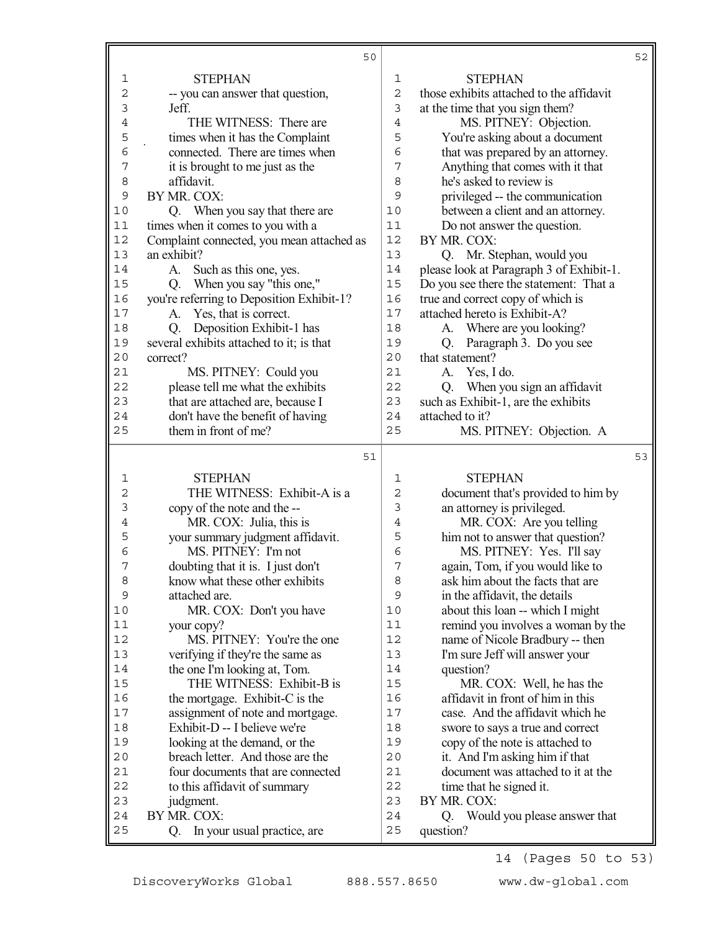|        | 50                                                                 |                     |                                          | 52 |
|--------|--------------------------------------------------------------------|---------------------|------------------------------------------|----|
| 1      | <b>STEPHAN</b>                                                     | 1                   | <b>STEPHAN</b>                           |    |
| 2      | -- you can answer that question,                                   | $\overline{c}$      | those exhibits attached to the affidavit |    |
| 3      | Jeff.                                                              | 3                   | at the time that you sign them?          |    |
| 4      | THE WITNESS: There are                                             | $\overline{4}$      | MS. PITNEY: Objection.                   |    |
| 5      | times when it has the Complaint                                    | 5                   | You're asking about a document           |    |
| 6      | connected. There are times when                                    | 6                   | that was prepared by an attorney.        |    |
| 7      | it is brought to me just as the                                    | 7                   | Anything that comes with it that         |    |
| 8      | affidavit.                                                         | 8                   | he's asked to review is                  |    |
| 9      | BY MR. COX:                                                        | 9                   | privileged -- the communication          |    |
| 10     | Q. When you say that there are                                     | 10                  | between a client and an attorney.        |    |
| 11     | times when it comes to you with a                                  | 11                  | Do not answer the question.              |    |
| 12     | Complaint connected, you mean attached as                          | 12                  | BY MR. COX:                              |    |
| 13     | an exhibit?                                                        | 13                  | Q. Mr. Stephan, would you                |    |
| 14     | Such as this one, yes.<br>A.                                       | 14                  | please look at Paragraph 3 of Exhibit-1. |    |
| 15     | When you say "this one,"<br>Q.                                     | 15                  | Do you see there the statement: That a   |    |
| 16     | you're referring to Deposition Exhibit-1?                          | 16                  | true and correct copy of which is        |    |
| 17     | Yes, that is correct.<br>A.                                        | 17                  | attached hereto is Exhibit-A?            |    |
| 18     | Deposition Exhibit-1 has<br>Q.                                     | 18                  | A. Where are you looking?                |    |
| 19     | several exhibits attached to it; is that                           | 19                  | Paragraph 3. Do you see<br>Q.            |    |
| 20     | correct?                                                           | 20                  | that statement?                          |    |
| 21     | MS. PITNEY: Could you                                              | 21                  | Yes, I do.<br>А.                         |    |
| 22     | please tell me what the exhibits                                   | 22                  | When you sign an affidavit<br>Q.         |    |
| 23     | that are attached are, because I                                   | 23                  | such as Exhibit-1, are the exhibits      |    |
| 24     | don't have the benefit of having                                   | 24                  | attached to it?                          |    |
| 25     | them in front of me?                                               | 25                  | MS. PITNEY: Objection. A                 |    |
|        |                                                                    |                     |                                          |    |
|        | 51                                                                 |                     |                                          | 53 |
|        |                                                                    | 1                   |                                          |    |
| 1<br>2 | <b>STEPHAN</b>                                                     | $\overline{2}$      | <b>STEPHAN</b>                           |    |
|        | THE WITNESS: Exhibit-A is a                                        |                     | document that's provided to him by       |    |
| 3<br>4 | copy of the note and the --                                        | 3<br>$\overline{4}$ | an attorney is privileged.               |    |
|        | MR. COX: Julia, this is                                            |                     | MR. COX: Are you telling                 |    |
| 5<br>6 | your summary judgment affidavit.                                   | 5                   | him not to answer that question?         |    |
| 7      | MS. PITNEY: I'm not                                                | 6<br>7              | MS. PITNEY: Yes. I'll say                |    |
|        | doubting that it is. I just don't                                  | 8                   | again, Tom, if you would like to         |    |
| 8<br>9 | know what these other exhibits<br>attached are.                    | 9                   | ask him about the facts that are         |    |
| 10     |                                                                    | 10                  | in the affidavit, the details            |    |
| 11     | MR. COX: Don't you have                                            | 11                  | about this loan -- which I might         |    |
| 12     | your copy?<br>MS. PITNEY: You're the one                           | 12                  | remind you involves a woman by the       |    |
| 13     |                                                                    | 13                  | name of Nicole Bradbury -- then          |    |
| 14     | verifying if they're the same as                                   | 14                  | I'm sure Jeff will answer your           |    |
| 15     | the one I'm looking at, Tom.<br>THE WITNESS: Exhibit-B is          | 15                  | question?<br>MR. COX: Well, he has the   |    |
| 16     |                                                                    | 16                  | affidavit in front of him in this        |    |
| 17     | the mortgage. Exhibit-C is the<br>assignment of note and mortgage. | 17                  | case. And the affidavit which he         |    |
| 18     | Exhibit-D -- I believe we're                                       | 18                  | swore to says a true and correct         |    |
| 19     | looking at the demand, or the                                      | 19                  | copy of the note is attached to          |    |
| 20     | breach letter. And those are the                                   | 20                  | it. And I'm asking him if that           |    |
| 21     | four documents that are connected                                  | 21                  | document was attached to it at the       |    |
| 22     | to this affidavit of summary                                       | 22                  | time that he signed it.                  |    |
| 23     | judgment.                                                          | 23                  | BY MR. COX:                              |    |
| 24     | BY MR. COX:                                                        | 24                  | Q. Would you please answer that          |    |

14 (Pages 50 to 53)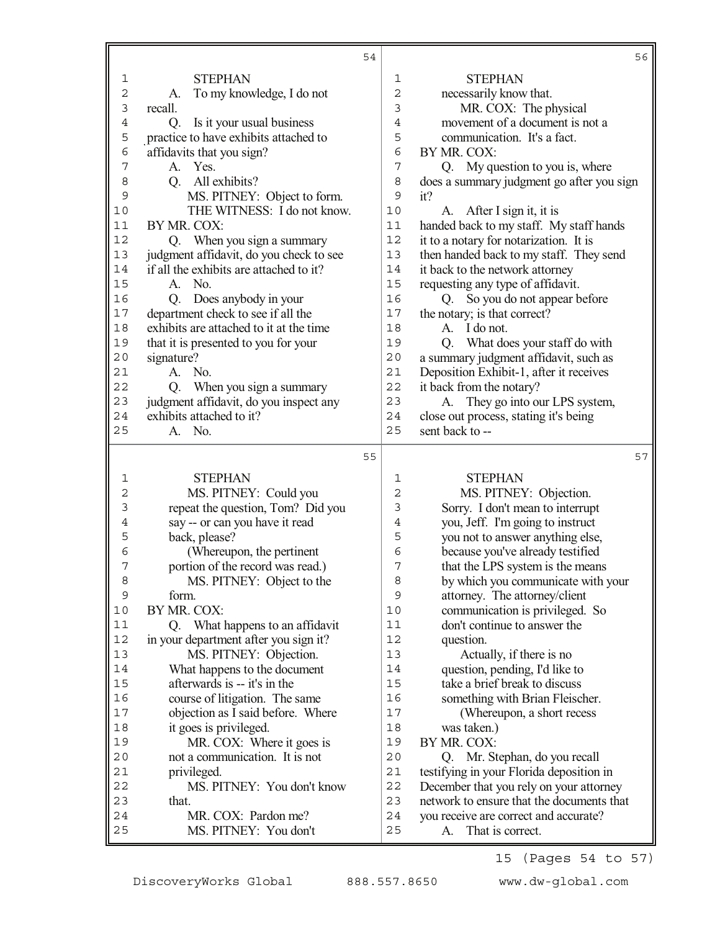|                |                                              | 54 |                | 56                                                              |
|----------------|----------------------------------------------|----|----------------|-----------------------------------------------------------------|
| $\mathbf 1$    | <b>STEPHAN</b>                               |    | $\mathbf{1}$   | <b>STEPHAN</b>                                                  |
| $\mathbf 2$    | A. To my knowledge, I do not                 |    | 2              | necessarily know that.                                          |
| $\mathfrak{Z}$ | recall.                                      |    | 3              | MR. COX: The physical                                           |
| $\,4$          | Is it your usual business<br>Q.              |    | $\overline{4}$ | movement of a document is not a                                 |
| 5              | practice to have exhibits attached to        |    | 5              | communication. It's a fact.                                     |
| 6              | affidavits that you sign?                    |    | 6              | BY MR. COX:                                                     |
| 7              | A. Yes.                                      |    | $\overline{7}$ | Q. My question to you is, where                                 |
| 8              | All exhibits?<br>Q <sub>r</sub>              |    | 8              | does a summary judgment go after you sign                       |
| 9              | MS. PITNEY: Object to form.                  |    | 9              | it?                                                             |
| 10             | THE WITNESS: I do not know.                  |    | 10             | A. After I sign it, it is                                       |
| 11             | BY MR. COX:                                  |    | 11             | handed back to my staff. My staff hands                         |
| 12             | Q. When you sign a summary                   |    | 12             | it to a notary for notarization. It is                          |
| 13             | judgment affidavit, do you check to see      |    | 13             | then handed back to my staff. They send                         |
| 14             | if all the exhibits are attached to it?      |    | 14             | it back to the network attorney                                 |
| 15             | No.<br>A.                                    |    | 15             | requesting any type of affidavit.                               |
| 16             | Does anybody in your<br>Q <sub>r</sub>       |    | 16             | Q. So you do not appear before                                  |
| 17             | department check to see if all the           |    | 17             | the notary; is that correct?                                    |
| 18             | exhibits are attached to it at the time      |    | 18             | A. I do not.                                                    |
| 19             | that it is presented to you for your         |    | 19             | What does your staff do with<br>Q.                              |
| 20             | signature?                                   |    | 20             | a summary judgment affidavit, such as                           |
| 21             | No.<br>A.                                    |    | 21             | Deposition Exhibit-1, after it receives                         |
| 22             | Q. When you sign a summary                   |    | 22             | it back from the notary?                                        |
| 23             | judgment affidavit, do you inspect any       |    | 23             | A. They go into our LPS system,                                 |
| 24             | exhibits attached to it?                     |    | 24             | close out process, stating it's being                           |
| 25             | A. No.                                       |    | 25             | sent back to --                                                 |
|                |                                              |    |                |                                                                 |
|                |                                              | 55 |                | 57                                                              |
| 1              | <b>STEPHAN</b>                               |    | 1              | <b>STEPHAN</b>                                                  |
| 2              | MS. PITNEY: Could you                        |    | 2              | MS. PITNEY: Objection.                                          |
| 3              | repeat the question, Tom? Did you            |    | 3              | Sorry. I don't mean to interrupt                                |
| 4              | say -- or can you have it read               |    | $\overline{4}$ | you, Jeff. I'm going to instruct                                |
| 5              | back, please?                                |    | 5              | you not to answer anything else,                                |
| 6              | (Whereupon, the pertinent                    |    | 6              | because you've already testified                                |
| 7              | portion of the record was read.)             |    | 7              | that the LPS system is the means                                |
| 8              | MS. PITNEY: Object to the                    |    | 8              | by which you communicate with your                              |
| 9              | form.                                        |    | 9              |                                                                 |
| $10$           |                                              |    |                | attorney. The attorney/client                                   |
|                | BY MR. COX:                                  |    | 10             | communication is privileged. So                                 |
| 11             | Q. What happens to an affidavit              |    | 11             | don't continue to answer the                                    |
| 12             | in your department after you sign it?        |    | 12             | question.                                                       |
| 13             | MS. PITNEY: Objection.                       |    | 13             | Actually, if there is no                                        |
| 14             | What happens to the document                 |    | 14             | question, pending, I'd like to                                  |
| 15             | afterwards is -- it's in the                 |    | 15             | take a brief break to discuss                                   |
| 16             | course of litigation. The same               |    | 16             | something with Brian Fleischer.                                 |
| $17$           | objection as I said before. Where            |    | 17             | (Whereupon, a short recess                                      |
| 18             | it goes is privileged.                       |    | 18             | was taken.)                                                     |
| 19             | MR. COX: Where it goes is                    |    | 19             | BY MR. COX:                                                     |
| 20             | not a communication. It is not               |    | 20             | Q. Mr. Stephan, do you recall                                   |
| 21             | privileged.                                  |    | 21             | testifying in your Florida deposition in                        |
| 22             | MS. PITNEY: You don't know                   |    | 22             | December that you rely on your attorney                         |
| 23             | that.                                        |    | 23             | network to ensure that the documents that                       |
| 24<br>25       | MR. COX: Pardon me?<br>MS. PITNEY: You don't |    | 24<br>25       | you receive are correct and accurate?<br>That is correct.<br>A. |

15 (Pages 54 to 57)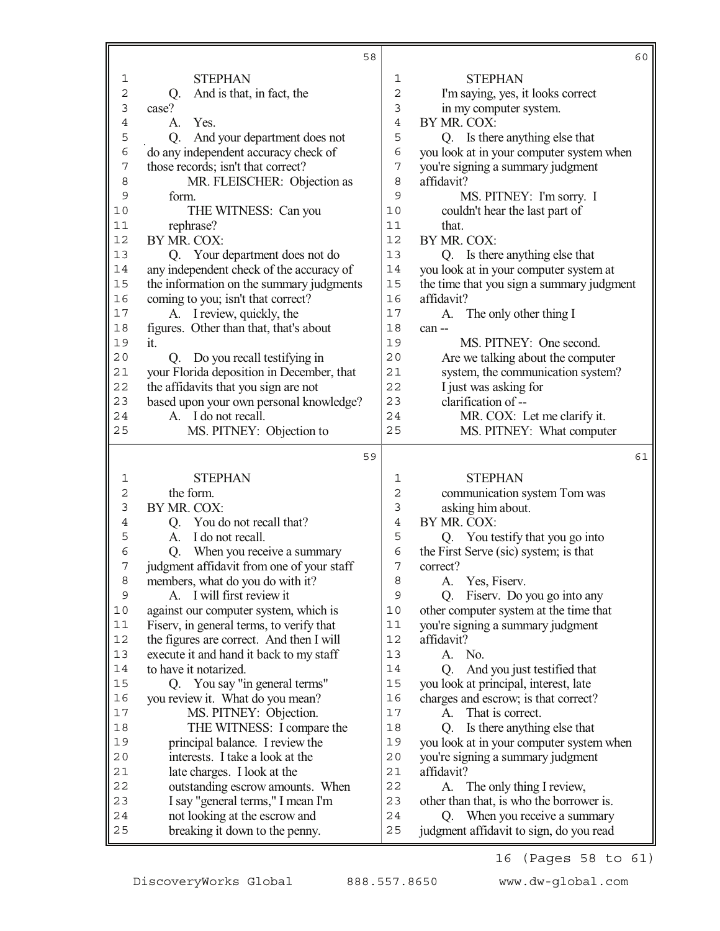|                     | 58                                                              |                | 60                                                                    |
|---------------------|-----------------------------------------------------------------|----------------|-----------------------------------------------------------------------|
| 1                   | <b>STEPHAN</b>                                                  | 1              | <b>STEPHAN</b>                                                        |
| $\overline{2}$      | And is that, in fact, the<br>Q.                                 | $\overline{c}$ | I'm saying, yes, it looks correct                                     |
| 3                   | case?                                                           | 3              | in my computer system.                                                |
| $\ensuremath{4}$    | Yes.<br>A.                                                      | $\overline{4}$ | BY MR. COX:                                                           |
| 5                   | And your department does not<br>Q.                              | 5              | Q. Is there anything else that                                        |
| 6                   | do any independent accuracy check of                            | 6              | you look at in your computer system when                              |
| $\overline{7}$      | those records; isn't that correct?                              | 7              | you're signing a summary judgment                                     |
| 8                   | MR. FLEISCHER: Objection as                                     | 8              | affidavit?                                                            |
| $\mathsf{S}$        | form.                                                           | 9              | MS. PITNEY: I'm sorry. I                                              |
| 10                  | THE WITNESS: Can you                                            | 10             | couldn't hear the last part of                                        |
| 11                  | rephrase?                                                       | 11             | that.                                                                 |
| 12                  | BY MR. COX:                                                     | 12             | BY MR. COX:                                                           |
| 13                  | Q. Your department does not do                                  | 13             | Q. Is there anything else that                                        |
| 14                  | any independent check of the accuracy of                        | 14             | you look at in your computer system at                                |
| 15                  | the information on the summary judgments                        | 15             | the time that you sign a summary judgment                             |
| 16                  | coming to you; isn't that correct?                              | 16             | affidavit?                                                            |
| 17                  | A. I review, quickly, the                                       | 17             | The only other thing I<br>A.                                          |
| $18$                | figures. Other than that, that's about                          | 18             | can --                                                                |
| 19                  | it.                                                             | 19             | MS. PITNEY: One second.                                               |
| $20$                | Q. Do you recall testifying in                                  | 20             | Are we talking about the computer                                     |
| 21                  | your Florida deposition in December, that                       | 21             | system, the communication system?                                     |
| 22                  | the affidavits that you sign are not                            | 22             | I just was asking for                                                 |
| 23                  | based upon your own personal knowledge?                         | 23             | clarification of --                                                   |
| 24                  | A. I do not recall.                                             | 24             | MR. COX: Let me clarify it.                                           |
| 25                  | MS. PITNEY: Objection to                                        | 25             | MS. PITNEY: What computer                                             |
|                     | 59                                                              |                | 61                                                                    |
|                     |                                                                 |                |                                                                       |
| 1<br>$\overline{c}$ | <b>STEPHAN</b><br>the form.                                     | 1              | <b>STEPHAN</b>                                                        |
| 3                   | BY MR. COX:                                                     | 2<br>3         | communication system Tom was                                          |
|                     | Q. You do not recall that?                                      | $\overline{4}$ | asking him about.<br>BY MR. COX:                                      |
| 4<br>5              | I do not recall.<br>A.                                          | 5              | Q. You testify that you go into                                       |
| 6                   | When you receive a summary<br>Q.                                | 6              | the First Serve (sic) system; is that                                 |
| 7                   | judgment affidavit from one of your staff                       | 7              | correct?                                                              |
| 8                   | members, what do you do with it?                                | 8              | A. Yes, Fiserv.                                                       |
| $\mathsf 9$         | I will first review it<br>A.                                    | $\mathsf 9$    | Fiserv. Do you go into any<br>Q.                                      |
| $10$                | against our computer system, which is                           | 10             | other computer system at the time that                                |
| 11                  | Fiserv, in general terms, to verify that                        | 11             | you're signing a summary judgment                                     |
| 12                  | the figures are correct. And then I will                        | 12             | affidavit?                                                            |
| 13                  | execute it and hand it back to my staff                         | 13             | No.<br>A.                                                             |
| 14                  | to have it notarized.                                           | 14             | And you just testified that<br>Q.                                     |
| 15                  | Q. You say "in general terms"                                   | 15             | you look at principal, interest, late                                 |
| 16                  | you review it. What do you mean?                                | 16             | charges and escrow; is that correct?                                  |
| $17$                | MS. PITNEY: Objection.                                          | 17             | That is correct.<br>A.                                                |
| $1\,8$              | THE WITNESS: I compare the                                      | 18             | Is there anything else that<br>Q.                                     |
| 19                  | principal balance. I review the                                 | 19             | you look at in your computer system when                              |
| 20                  | interests. I take a look at the                                 | 20             | you're signing a summary judgment                                     |
| 21                  | late charges. I look at the                                     | 21             | affidavit?                                                            |
| 22                  |                                                                 |                |                                                                       |
|                     |                                                                 |                |                                                                       |
|                     | outstanding escrow amounts. When                                | 22             | A. The only thing I review,                                           |
| 23<br>24            | I say "general terms," I mean I'm                               | 23<br>24       | other than that, is who the borrower is.<br>O.                        |
| 25                  | not looking at the escrow and<br>breaking it down to the penny. | 25             | When you receive a summary<br>judgment affidavit to sign, do you read |

16 (Pages 58 to 61)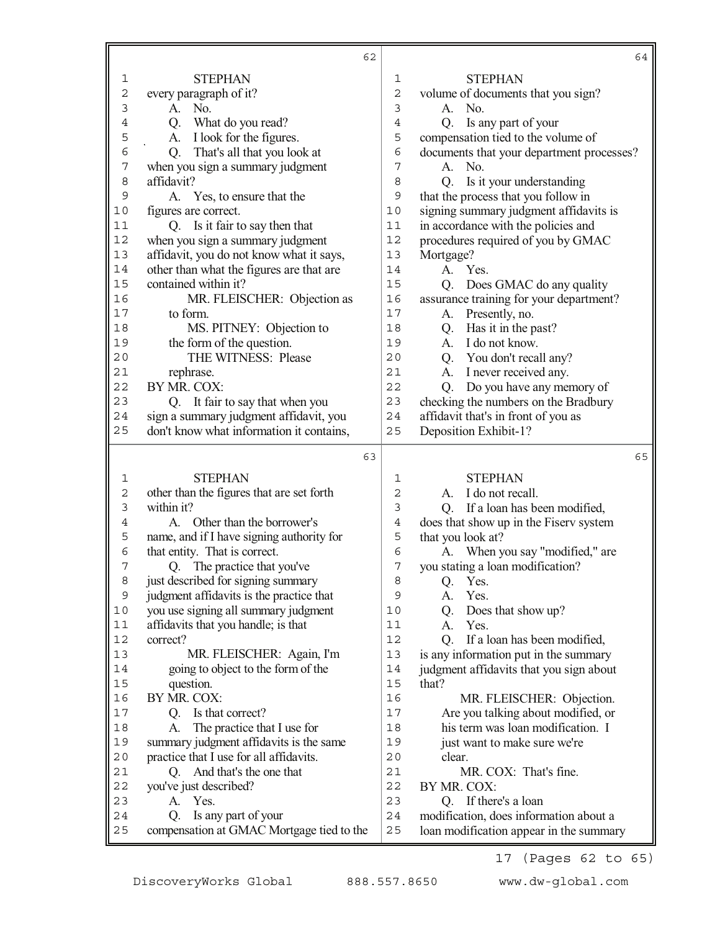|                | 62                                        |                | 64                                        |
|----------------|-------------------------------------------|----------------|-------------------------------------------|
| $\mathbf{1}$   | <b>STEPHAN</b>                            | $\mathbf 1$    | <b>STEPHAN</b>                            |
| $\overline{c}$ | every paragraph of it?                    | $\mathbf 2$    | volume of documents that you sign?        |
| $\mathfrak{Z}$ | No.<br>A.                                 | 3              | A. No.                                    |
| $\overline{4}$ | What do you read?<br>Q.                   | $\overline{4}$ | Is any part of your<br>Q <sub>r</sub>     |
| 5              | I look for the figures.<br>А.             | 5              | compensation tied to the volume of        |
| 6              | That's all that you look at<br>Q.         | 6              | documents that your department processes? |
| 7              | when you sign a summary judgment          | 7              | No.<br>A.                                 |
| 8              | affidavit?                                | 8              | Is it your understanding<br>Q.            |
| 9              | A. Yes, to ensure that the                | 9              | that the process that you follow in       |
| $10$           | figures are correct.                      | 10             | signing summary judgment affidavits is    |
| 11             | Q. Is it fair to say then that            | $11$           | in accordance with the policies and       |
| $12$           | when you sign a summary judgment          | 12             | procedures required of you by GMAC        |
| 13             | affidavit, you do not know what it says,  | 13             | Mortgage?                                 |
| 14             | other than what the figures are that are  | 14             | A.<br>Yes.                                |
| 15             | contained within it?                      | 15             | Does GMAC do any quality<br>Q.            |
| 16             | MR. FLEISCHER: Objection as               | 16             | assurance training for your department?   |
| $17$           | to form.                                  | 17             | Presently, no.<br>A.                      |
| 18             | MS. PITNEY: Objection to                  | 18             | Has it in the past?<br>Q.                 |
| 19             | the form of the question.                 | 19             | A. I do not know.                         |
| 20             | THE WITNESS: Please                       | 20             | Q. You don't recall any?                  |
| 21             | rephrase.                                 | 21             | A. I never received any.                  |
| 22             | BY MR. COX:                               | 22             | Do you have any memory of<br>Q.           |
| 23             | Q. It fair to say that when you           | 23             | checking the numbers on the Bradbury      |
| 24             | sign a summary judgment affidavit, you    | 24             | affidavit that's in front of you as       |
| 25             | don't know what information it contains,  | 25             | Deposition Exhibit-1?                     |
|                | 63                                        |                | 65                                        |
| 1              | <b>STEPHAN</b>                            | 1              | <b>STEPHAN</b>                            |
| $\mathbf{2}$   | other than the figures that are set forth | $\overline{c}$ | I do not recall.<br>A.                    |
| $\mathfrak{Z}$ | within it?                                | 3              | If a loan has been modified,<br>Q.        |
| 4              | Other than the borrower's<br>A.           | $\overline{4}$ | does that show up in the Fisery system    |
| 5              | name, and if I have signing authority for | 5              | that you look at?                         |
| $\epsilon$     | that entity. That is correct.             | 6              | A. When you say "modified," are           |
| 7              | The practice that you've<br>Q.            | 7              | you stating a loan modification?          |
| 8              | just described for signing summary        | 8              | Yes.<br>Q.                                |
| 9              | judgment affidavits is the practice that  | 9              | Yes.<br>А.                                |
| $10$           | you use signing all summary judgment      | 10             | Does that show up?<br>Q.                  |
| $11$           | affidavits that you handle; is that       | 11             | Yes.<br>A.                                |
| 12             | correct?                                  | 12             | If a loan has been modified,<br>Q.        |
| 13             | MR. FLEISCHER: Again, I'm                 | 13             | is any information put in the summary     |
| 14             | going to object to the form of the        | 14             | judgment affidavits that you sign about   |
| 15             | question.                                 | 15             | that?                                     |
| 16             | BY MR. COX:                               | 16             | MR. FLEISCHER: Objection.                 |
| $17$           | Is that correct?<br>Q.                    | 17             | Are you talking about modified, or        |
| 18             | The practice that I use for<br>A.         | 18             | his term was loan modification. I         |
| 19             | summary judgment affidavits is the same   | 19             | just want to make sure we're              |
| 20             | practice that I use for all affidavits.   | 20             | clear.                                    |
| 21             | And that's the one that<br>O.             | 21             | MR. COX: That's fine.                     |
| 22             | you've just described?                    | 22             | BY MR. COX:                               |
| 23             | Yes.<br>A.                                | 23             | Q. If there's a loan                      |
|                |                                           |                |                                           |
| 24             | Is any part of your<br>O.                 | 24             | modification, does information about a    |

17 (Pages 62 to 65)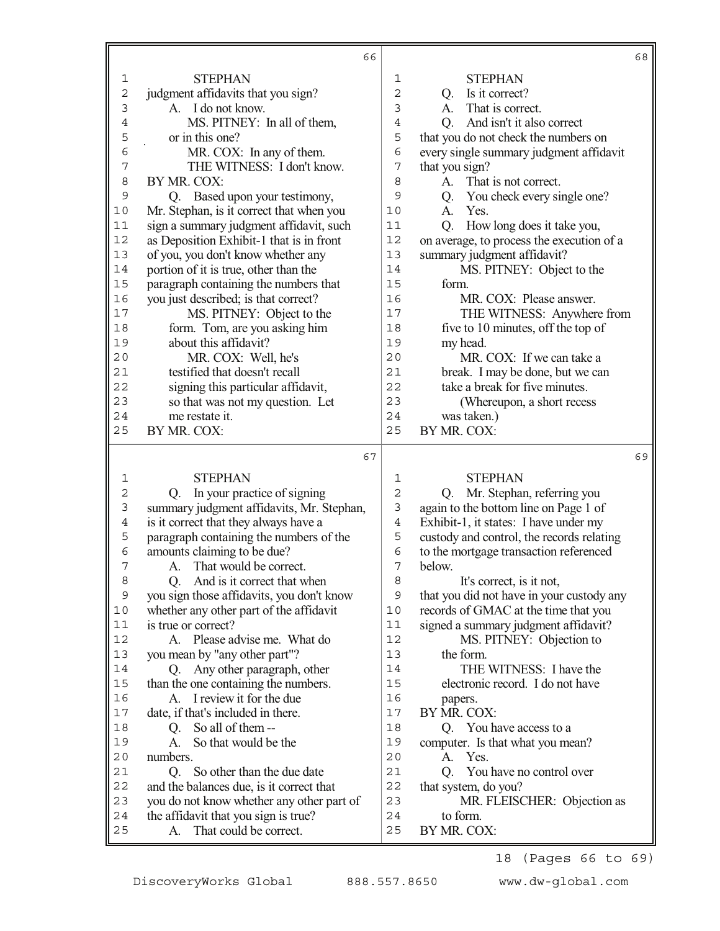|             | 66                                                                   |                |                                           | 68 |
|-------------|----------------------------------------------------------------------|----------------|-------------------------------------------|----|
| $\mathbf 1$ | <b>STEPHAN</b>                                                       | 1              | <b>STEPHAN</b>                            |    |
| 2           | judgment affidavits that you sign?                                   | $\overline{c}$ | Q. Is it correct?                         |    |
| 3           | A. I do not know.                                                    | 3              | That is correct.<br>A.                    |    |
| 4           | MS. PITNEY: In all of them,                                          | $\overline{4}$ | And isn't it also correct<br>Q.           |    |
| 5           | or in this one?                                                      | 5              | that you do not check the numbers on      |    |
| 6           | MR. COX: In any of them.                                             | 6              | every single summary judgment affidavit   |    |
| 7           | THE WITNESS: I don't know.                                           | 7              | that you sign?                            |    |
| 8           | BY MR. COX:                                                          | 8              | That is not correct.<br>A.                |    |
| 9           | Q. Based upon your testimony,                                        | 9              | You check every single one?<br>Q.         |    |
| 10          | Mr. Stephan, is it correct that when you                             | 10             | Yes.<br>A.                                |    |
| 11          | sign a summary judgment affidavit, such                              | 11             | Q.<br>How long does it take you,          |    |
| 12          | as Deposition Exhibit-1 that is in front                             | 12             | on average, to process the execution of a |    |
| 13          | of you, you don't know whether any                                   | 13             | summary judgment affidavit?               |    |
| 14          | portion of it is true, other than the                                | 14             | MS. PITNEY: Object to the                 |    |
| 15          | paragraph containing the numbers that                                | 15             | form.                                     |    |
| 16          | you just described; is that correct?                                 | 16             | MR. COX: Please answer.                   |    |
| 17          | MS. PITNEY: Object to the                                            | 17             | THE WITNESS: Anywhere from                |    |
| 18          | form. Tom, are you asking him                                        | 18             | five to 10 minutes, off the top of        |    |
| 19          | about this affidavit?                                                | 19             | my head.                                  |    |
| 20          | MR. COX: Well, he's                                                  | 20             | MR. COX: If we can take a                 |    |
| 21          | testified that doesn't recall                                        | 21             | break. I may be done, but we can          |    |
| 22          | signing this particular affidavit,                                   | 22             | take a break for five minutes.            |    |
| 23          | so that was not my question. Let                                     | 23             | (Whereupon, a short recess                |    |
| 24          | me restate it.                                                       | 24             | was taken.)                               |    |
| 25          | BY MR. COX:                                                          | 25             | BY MR. COX:                               |    |
|             |                                                                      |                |                                           |    |
|             | 67                                                                   |                |                                           |    |
| 1           | <b>STEPHAN</b>                                                       | 1              | <b>STEPHAN</b>                            |    |
| 2           | In your practice of signing<br>Q.                                    | $\overline{c}$ | Mr. Stephan, referring you<br>O.          |    |
| 3           | summary judgment affidavits, Mr. Stephan,                            | 3              | again to the bottom line on Page 1 of     |    |
| 4           | is it correct that they always have a                                | $\overline{4}$ | Exhibit-1, it states: I have under my     |    |
| 5           | paragraph containing the numbers of the                              | 5              | custody and control, the records relating |    |
| 6           | amounts claiming to be due?                                          | 6              | to the mortgage transaction referenced    |    |
| 7           | That would be correct.<br>A.                                         | 7              | below.                                    |    |
| 8           | And is it correct that when<br>O.                                    | 8              | It's correct, is it not,                  |    |
| 9           | you sign those affidavits, you don't know                            | 9              | that you did not have in your custody any |    |
| 10          | whether any other part of the affidavit                              | 10             | records of GMAC at the time that you      |    |
| 11          | is true or correct?                                                  | 11             | signed a summary judgment affidavit?      |    |
| 12          | A. Please advise me. What do                                         | 12             | MS. PITNEY: Objection to                  |    |
| 13          | you mean by "any other part"?                                        | 13             | the form.                                 |    |
| 14          | Q. Any other paragraph, other                                        | 14             | THE WITNESS: I have the                   | 69 |
| 15          | than the one containing the numbers.                                 | 15             | electronic record. I do not have          |    |
| 16          | A. I review it for the due                                           | 16             | papers.                                   |    |
| 17          | date, if that's included in there.                                   | 17             | BY MR. COX:                               |    |
| 18          | So all of them --<br>Q.                                              | 18             | Q. You have access to a                   |    |
| 19          | So that would be the<br>A.                                           | 19             | computer. Is that what you mean?          |    |
| 20          | numbers.                                                             | 20             | Yes.<br>A.                                |    |
| 21          | So other than the due date<br>O.                                     | 21             | You have no control over<br>O.            |    |
| 22<br>23    | and the balances due, is it correct that                             | 22<br>23       | that system, do you?                      |    |
| 24          | you do not know whether any other part of                            | 24             | MR. FLEISCHER: Objection as<br>to form.   |    |
| 25          | the affidavit that you sign is true?<br>That could be correct.<br>A. | 25             | BY MR. COX:                               |    |

18 (Pages 66 to 69)